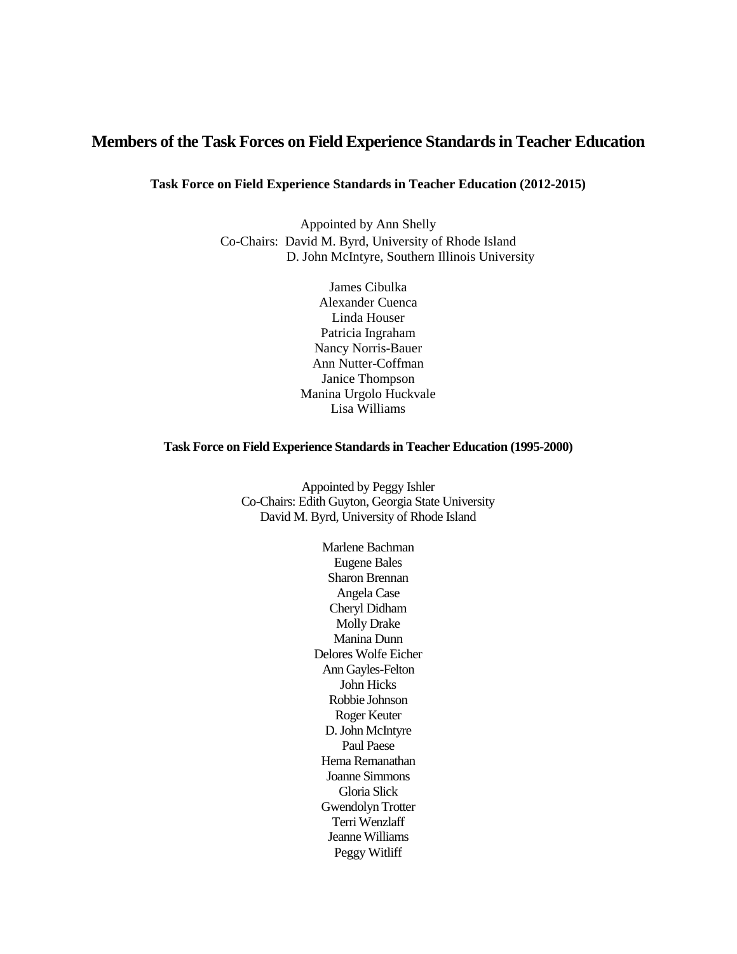# **Members of the Task Forces on Field Experience Standardsin Teacher Education**

**Task Force on Field Experience Standards in Teacher Education (2012-2015)**

Appointed by Ann Shelly Co-Chairs: David M. Byrd, University of Rhode Island D. John McIntyre, Southern Illinois University

> James Cibulka Alexander Cuenca Linda Houser Patricia Ingraham Nancy Norris-Bauer Ann Nutter-Coffman Janice Thompson Manina Urgolo Huckvale Lisa Williams

#### **Task Force on Field Experience Standards in Teacher Education (1995-2000)**

Appointed by Peggy Ishler Co-Chairs: Edith Guyton, Georgia State University David M. Byrd, University of Rhode Island

> Marlene Bachman Eugene Bales Sharon Brennan Angela Case Cheryl Didham Molly Drake Manina Dunn Delores Wolfe Eicher Ann Gayles-Felton John Hicks Robbie Johnson Roger Keuter D. John McIntyre Paul Paese Hema Remanathan Joanne Simmons Gloria Slick Gwendolyn Trotter Terri Wenzlaff Jeanne Williams Peggy Witliff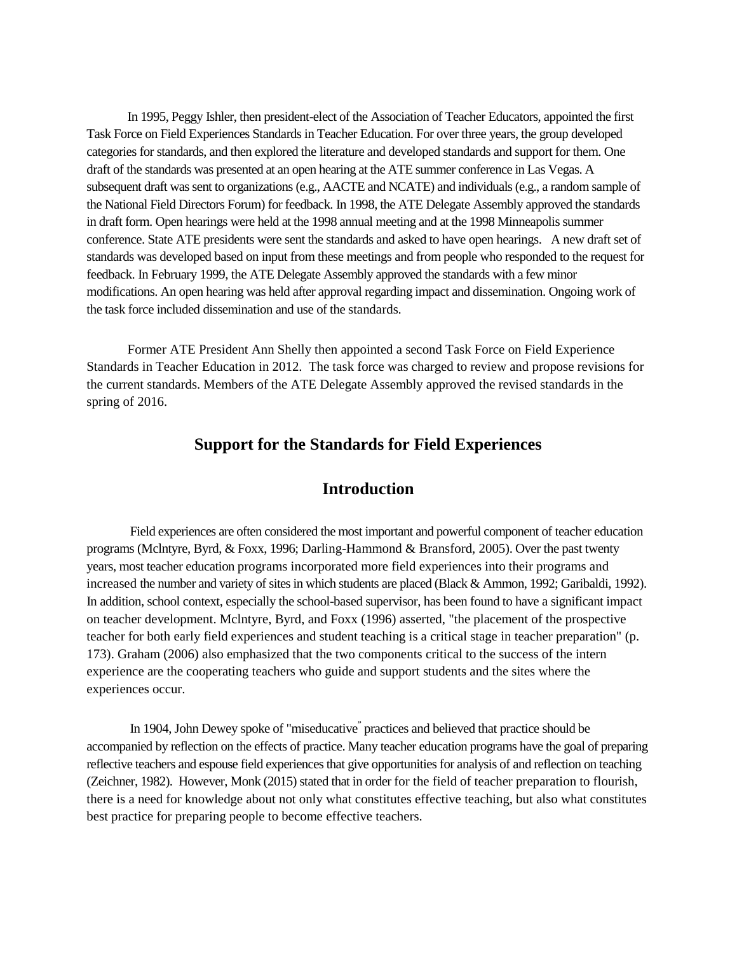In 1995, Peggy Ishler, then president-elect of the Association of Teacher Educators, appointed the first Task Force on Field Experiences Standardsin Teacher Education. For over three years, the group developed categories for standards, and then explored the literature and developed standards and support for them. One draft of the standards was presented at an open hearing at the ATE summer conference in Las Vegas. A subsequent draft was sent to organizations (e.g., AACTE and NCATE) and individuals (e.g., a random sample of the National Field Directors Forum) for feedback. In 1998, the ATE Delegate Assembly approved the standards in draft form. Open hearings were held at the 1998 annual meeting and at the 1998 Minneapolis summer conference. State ATE presidents were sent the standards and asked to have open hearings. A new draft set of standards was developed based on input from these meetings and from people who responded to the request for feedback. In February 1999, the ATE Delegate Assembly approved the standards with a few minor modifications. An open hearing was held after approval regarding impact and dissemination. Ongoing work of the task force included dissemination and use of the standards.

Former ATE President Ann Shelly then appointed a second Task Force on Field Experience Standards in Teacher Education in 2012. The task force was charged to review and propose revisions for the current standards. Members of the ATE Delegate Assembly approved the revised standards in the spring of 2016.

# **Support for the Standards for Field Experiences**

# **Introduction**

Field experiences are often considered the most important and powerful component of teacher education programs (Mclntyre, Byrd, & Foxx, 1996; Darling-Hammond & Bransford, 2005). Over the past twenty years, most teacher education programs incorporated more field experiences into their programs and increased the number and variety of sites in which students are placed (Black & Ammon, 1992; Garibaldi, 1992). In addition, school context, especially the school-based supervisor, has been found to have a significant impact on teacher development. Mclntyre, Byrd, and Foxx (1996) asserted, "the placement of the prospective teacher for both early field experiences and student teaching is a critical stage in teacher preparation" (p. 173). Graham (2006) also emphasized that the two components critical to the success of the intern experience are the cooperating teachers who guide and support students and the sites where the experiences occur.

In 1904, John Dewey spoke of "miseducative" practices and believed that practice should be accompanied by reflection on the effects of practice. Many teacher education programs have the goal of preparing reflective teachers and espouse field experiences that give opportunities for analysis of and reflection on teaching (Zeichner, 1982). However, Monk (2015) stated that in order for the field of teacher preparation to flourish, there is a need for knowledge about not only what constitutes effective teaching, but also what constitutes best practice for preparing people to become effective teachers.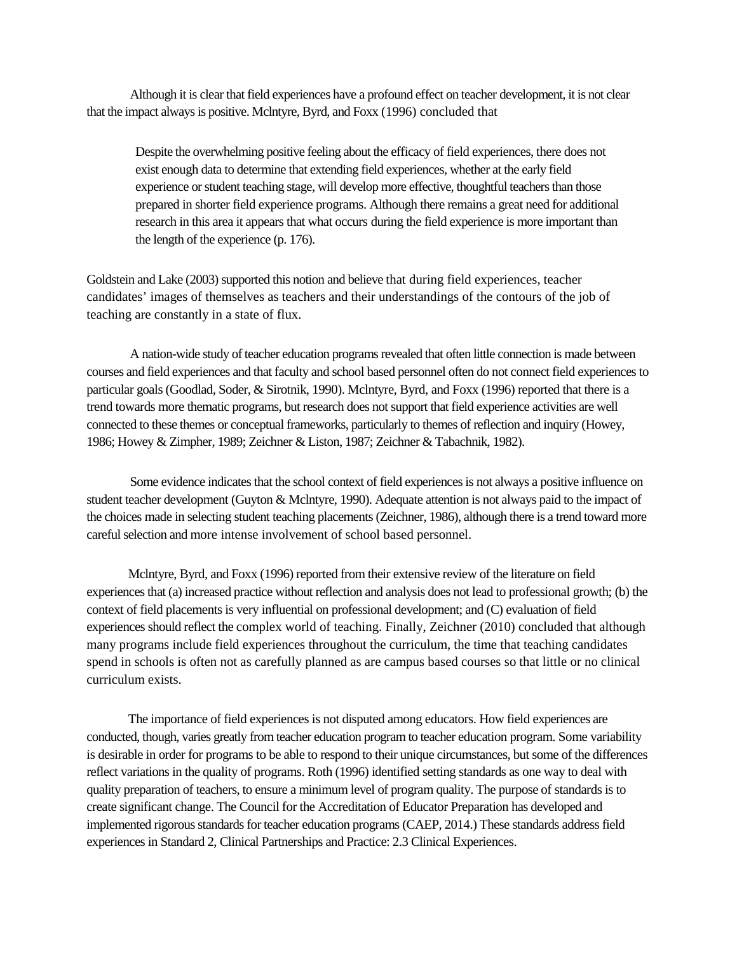Although it is clear that field experiences have a profound effect on teacher development, it is not clear that the impact always is positive. Mclntyre, Byrd, and Foxx (1996) concluded that

Despite the overwhelming positive feeling about the efficacy of field experiences, there does not exist enough data to determine that extending field experiences, whether at the early field experience or student teaching stage, will develop more effective, thoughtful teachers than those prepared in shorter field experience programs. Although there remains a great need for additional research in this area it appears that what occurs during the field experience is more important than the length of the experience (p. 176).

Goldstein and Lake (2003) supported this notion and believe that during field experiences, teacher candidates' images of themselves as teachers and their understandings of the contours of the job of teaching are constantly in a state of flux.

A nation-wide study of teacher education programs revealed that often little connection is made between courses and field experiences and that faculty and school based personnel often do not connect field experiences to particular goals (Goodlad, Soder, & Sirotnik, 1990). Mclntyre, Byrd, and Foxx (1996) reported that there is a trend towards more thematic programs, but research does not support that field experience activities are well connected to these themes or conceptual frameworks, particularly to themes of reflection and inquiry (Howey, 1986; Howey & Zimpher, 1989; Zeichner & Liston, 1987; Zeichner & Tabachnik, 1982).

Some evidence indicates that the school context of field experiences is not always a positive influence on student teacher development (Guyton & Mclntyre, 1990). Adequate attention is not always paid to the impact of the choices made in selecting student teaching placements (Zeichner, 1986), although there is a trend toward more careful selection and more intense involvement of school based personnel.

Mclntyre, Byrd, and Foxx (1996) reported from their extensive review of the literature on field experiences that (a) increased practice without reflection and analysis does not lead to professional growth; (b) the context of field placements is very influential on professional development; and (C) evaluation of field experiences should reflect the complex world of teaching. Finally, Zeichner (2010) concluded that although many programs include field experiences throughout the curriculum, the time that teaching candidates spend in schools is often not as carefully planned as are campus based courses so that little or no clinical curriculum exists.

The importance of field experiences is not disputed among educators. How field experiences are conducted, though, varies greatly from teacher education program to teacher education program. Some variability is desirable in order for programs to be able to respond to their unique circumstances, but some of the differences reflect variations in the quality of programs. Roth (1996) identified setting standards as one way to deal with quality preparation of teachers, to ensure a minimum level of program quality. The purpose of standards is to create significant change. The Council for the Accreditation of Educator Preparation has developed and implemented rigorous standards for teacher education programs (CAEP, 2014.) These standards address field experiences in Standard 2, Clinical Partnerships and Practice: 2.3 Clinical Experiences.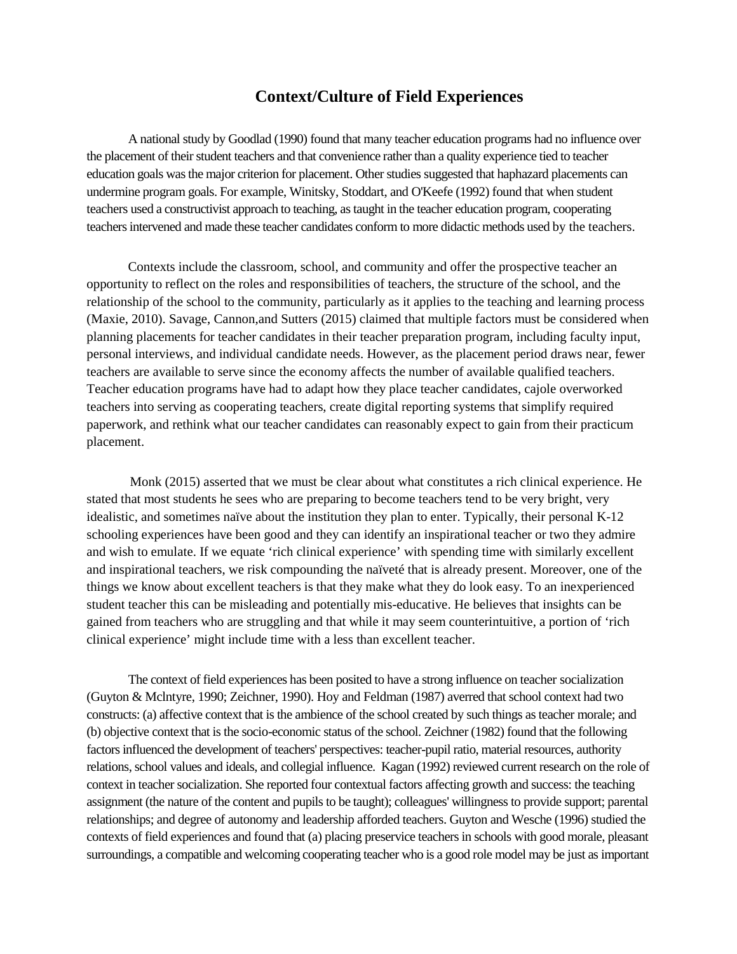# **Context/Culture of Field Experiences**

A national study by Goodlad (1990) found that many teacher education programs had no influence over the placement of their student teachers and that convenience rather than a quality experience tied to teacher education goals was the major criterion for placement. Other studies suggested that haphazard placements can undermine program goals. For example, Winitsky, Stoddart, and O'Keefe (1992) found that when student teachers used a constructivist approach to teaching, as taught in the teacher education program, cooperating teachers intervened and made these teacher candidates conform to more didactic methods used by the teachers.

Contexts include the classroom, school, and community and offer the prospective teacher an opportunity to reflect on the roles and responsibilities of teachers, the structure of the school, and the relationship of the school to the community, particularly as it applies to the teaching and learning process (Maxie, 2010). Savage, Cannon,and Sutters (2015) claimed that multiple factors must be considered when planning placements for teacher candidates in their teacher preparation program, including faculty input, personal interviews, and individual candidate needs. However, as the placement period draws near, fewer teachers are available to serve since the economy affects the number of available qualified teachers. Teacher education programs have had to adapt how they place teacher candidates, cajole overworked teachers into serving as cooperating teachers, create digital reporting systems that simplify required paperwork, and rethink what our teacher candidates can reasonably expect to gain from their practicum placement.

Monk (2015) asserted that we must be clear about what constitutes a rich clinical experience. He stated that most students he sees who are preparing to become teachers tend to be very bright, very idealistic, and sometimes naïve about the institution they plan to enter. Typically, their personal K-12 schooling experiences have been good and they can identify an inspirational teacher or two they admire and wish to emulate. If we equate 'rich clinical experience' with spending time with similarly excellent and inspirational teachers, we risk compounding the naïveté that is already present. Moreover, one of the things we know about excellent teachers is that they make what they do look easy. To an inexperienced student teacher this can be misleading and potentially mis-educative. He believes that insights can be gained from teachers who are struggling and that while it may seem counterintuitive, a portion of 'rich clinical experience' might include time with a less than excellent teacher.

The context of field experiences has been posited to have a strong influence on teacher socialization (Guyton & Mclntyre, 1990; Zeichner, 1990). Hoy and Feldman (1987) averred that school context had two constructs: (a) affective context that is the ambience of the school created by such things as teacher morale; and (b) objective context that is the socio-economic status of the school. Zeichner (1982) found that the following factors influenced the development of teachers' perspectives: teacher-pupil ratio, material resources, authority relations, school values and ideals, and collegial influence. Kagan (1992) reviewed current research on the role of context in teacher socialization. She reported four contextual factors affecting growth and success: the teaching assignment (the nature of the content and pupils to be taught); colleagues' willingness to provide support; parental relationships; and degree of autonomy and leadership afforded teachers. Guyton and Wesche (1996) studied the contexts of field experiences and found that (a) placing preservice teachers in schools with good morale, pleasant surroundings, a compatible and welcoming cooperating teacher who is a good role model may be just as important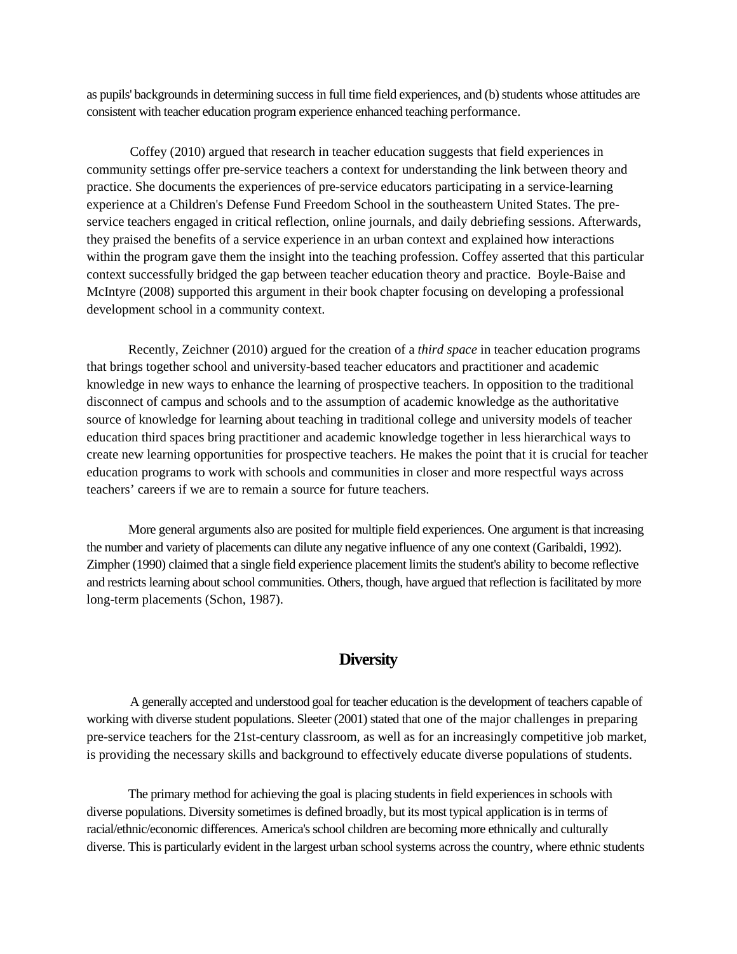as pupils' backgrounds in determining success in full time field experiences, and (b) students whose attitudes are consistent with teacher education program experience enhanced teaching performance.

Coffey (2010) argued that research in teacher education suggests that field experiences in community settings offer pre-service teachers a context for understanding the link between theory and practice. She documents the experiences of pre-service educators participating in a service-learning experience at a Children's Defense Fund Freedom School in the southeastern United States. The preservice teachers engaged in critical reflection, online journals, and daily debriefing sessions. Afterwards, they praised the benefits of a service experience in an urban context and explained how interactions within the program gave them the insight into the teaching profession. Coffey asserted that this particular context successfully bridged the gap between teacher education theory and practice. Boyle-Baise and McIntyre (2008) supported this argument in their book chapter focusing on developing a professional development school in a community context.

Recently, Zeichner (2010) argued for the creation of a *third space* in teacher education programs that brings together school and university-based teacher educators and practitioner and academic knowledge in new ways to enhance the learning of prospective teachers. In opposition to the traditional disconnect of campus and schools and to the assumption of academic knowledge as the authoritative source of knowledge for learning about teaching in traditional college and university models of teacher education third spaces bring practitioner and academic knowledge together in less hierarchical ways to create new learning opportunities for prospective teachers. He makes the point that it is crucial for teacher education programs to work with schools and communities in closer and more respectful ways across teachers' careers if we are to remain a source for future teachers.

More general arguments also are posited for multiple field experiences. One argument is that increasing the number and variety of placements can dilute any negative influence of any one context (Garibaldi, 1992). Zimpher (1990) claimed that a single field experience placement limits the student's ability to become reflective and restricts learning about school communities. Others, though, have argued that reflection is facilitated by more long-term placements (Schon, 1987).

# **Diversity**

A generally accepted and understood goal for teacher education is the development of teachers capable of working with diverse student populations. Sleeter (2001) stated that one of the major challenges in preparing pre-service teachers for the 21st-century classroom, as well as for an increasingly competitive job market, is providing the necessary skills and background to effectively educate diverse populations of students.

The primary method for achieving the goal is placing students in field experiences in schools with diverse populations. Diversity sometimes is defined broadly, but its most typical application is in terms of racial/ethnic/economic differences. America's school children are becoming more ethnically and culturally diverse. This is particularly evident in the largest urban school systems across the country, where ethnic students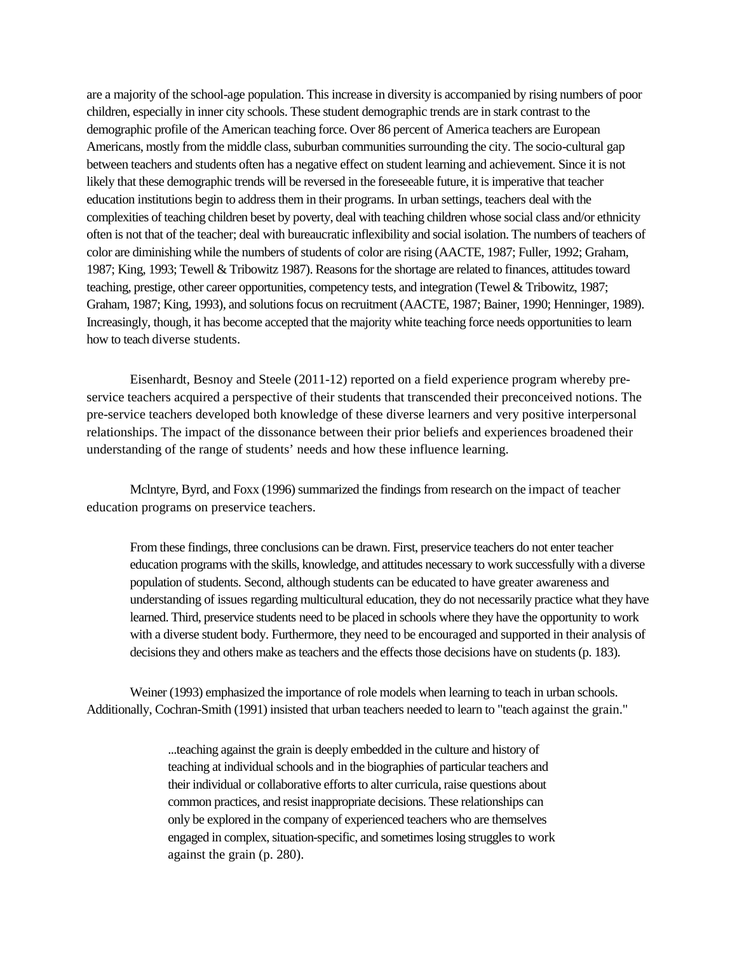are a majority of the school-age population. This increase in diversity is accompanied by rising numbers of poor children, especially in inner city schools. These student demographic trends are in stark contrast to the demographic profile of the American teaching force. Over 86 percent of America teachers are European Americans, mostly from the middle class, suburban communities surrounding the city. The socio-cultural gap between teachers and students often has a negative effect on student learning and achievement. Since it is not likely that these demographic trends will be reversed in the foreseeable future, it is imperative that teacher education institutions begin to address them in their programs. In urban settings, teachers deal with the complexities of teaching children beset by poverty, deal with teaching children whose social class and/or ethnicity often is not that of the teacher; deal with bureaucratic inflexibility and social isolation. The numbers of teachers of color are diminishing while the numbers of students of color are rising (AACTE, 1987; Fuller, 1992; Graham, 1987; King, 1993; Tewell & Tribowitz 1987). Reasons for the shortage are related to finances, attitudes toward teaching, prestige, other career opportunities, competency tests, and integration (Tewel & Tribowitz, 1987; Graham, 1987; King, 1993), and solutions focus on recruitment (AACTE, 1987; Bainer, 1990; Henninger, 1989). Increasingly, though, it has become accepted that the majority white teaching force needs opportunities to learn how to teach diverse students.

Eisenhardt, Besnoy and Steele (2011-12) reported on a field experience program whereby preservice teachers acquired a perspective of their students that transcended their preconceived notions. The pre-service teachers developed both knowledge of these diverse learners and very positive interpersonal relationships. The impact of the dissonance between their prior beliefs and experiences broadened their understanding of the range of students' needs and how these influence learning.

Mclntyre, Byrd, and Foxx (1996) summarized the findings from research on the impact of teacher education programs on preservice teachers.

From these findings, three conclusions can be drawn. First, preservice teachers do not enter teacher education programs with the skills, knowledge, and attitudes necessary to work successfully with a diverse population of students. Second, although students can be educated to have greater awareness and understanding of issues regarding multicultural education, they do not necessarily practice what they have learned. Third, preservice students need to be placed in schools where they have the opportunity to work with a diverse student body. Furthermore, they need to be encouraged and supported in their analysis of decisions they and others make as teachers and the effects those decisions have on students (p. 183).

Weiner (1993) emphasized the importance of role models when learning to teach in urban schools. Additionally, Cochran-Smith (1991) insisted that urban teachers needed to learn to "teach against the grain."

> ...teaching against the grain is deeply embedded in the culture and history of teaching at individual schools and in the biographies of particular teachers and their individual or collaborative efforts to alter curricula, raise questions about common practices, and resist inappropriate decisions. These relationships can only be explored in the company of experienced teachers who are themselves engaged in complex, situation-specific, and sometimes losing struggles to work against the grain (p. 280).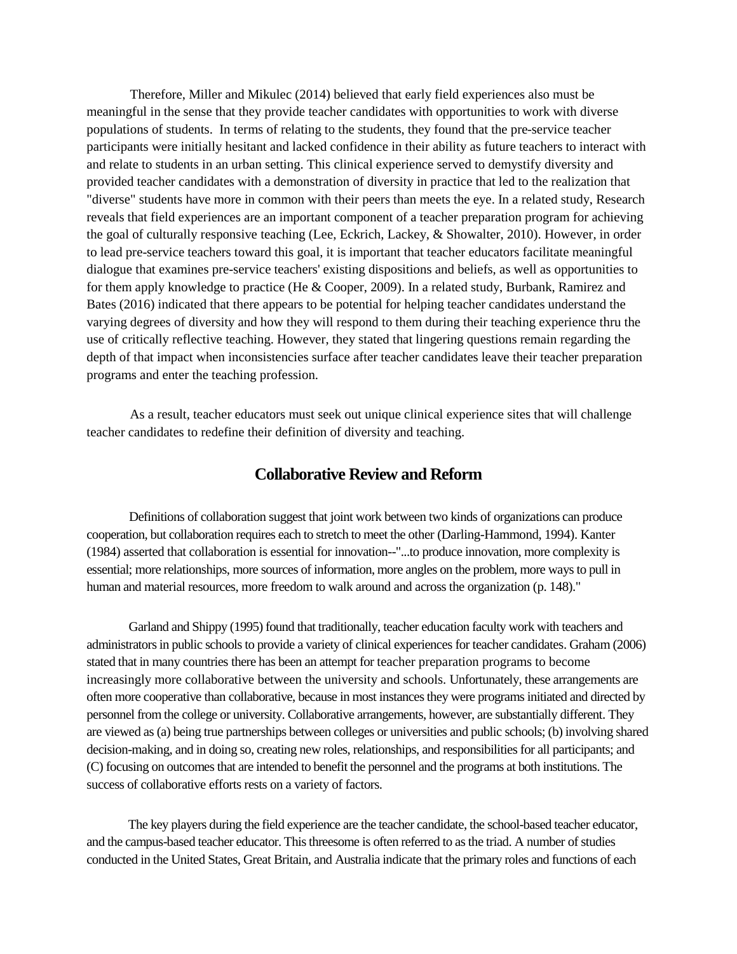Therefore, Miller and Mikulec (2014) believed that early field experiences also must be meaningful in the sense that they provide teacher candidates with opportunities to work with diverse populations of students. In terms of relating to the students, they found that the pre-service teacher participants were initially hesitant and lacked confidence in their ability as future teachers to interact with and relate to students in an urban setting. This clinical experience served to demystify diversity and provided teacher candidates with a demonstration of diversity in practice that led to the realization that "diverse" students have more in common with their peers than meets the eye. In a related study, Research reveals that field experiences are an important component of a teacher preparation program for achieving the goal of culturally responsive teaching (Lee, Eckrich, Lackey, & Showalter, 2010). However, in order to lead pre-service teachers toward this goal, it is important that teacher educators facilitate meaningful dialogue that examines pre-service teachers' existing dispositions and beliefs, as well as opportunities to for them apply knowledge to practice (He & Cooper, 2009). In a related study, Burbank, Ramirez and Bates (2016) indicated that there appears to be potential for helping teacher candidates understand the varying degrees of diversity and how they will respond to them during their teaching experience thru the use of critically reflective teaching. However, they stated that lingering questions remain regarding the depth of that impact when inconsistencies surface after teacher candidates leave their teacher preparation programs and enter the teaching profession.

As a result, teacher educators must seek out unique clinical experience sites that will challenge teacher candidates to redefine their definition of diversity and teaching.

# **Collaborative Review and Reform**

Definitions of collaboration suggest that joint work between two kinds of organizations can produce cooperation, but collaboration requires each to stretch to meet the other (Darling-Hammond, 1994). Kanter (1984) asserted that collaboration is essential for innovation--"...to produce innovation, more complexity is essential; more relationships, more sources of information, more angles on the problem, more ways to pull in human and material resources, more freedom to walk around and across the organization (p. 148)."

Garland and Shippy (1995) found that traditionally, teacher education faculty work with teachers and administrators in public schools to provide a variety of clinical experiences for teacher candidates. Graham (2006) stated that in many countries there has been an attempt for teacher preparation programs to become increasingly more collaborative between the university and schools. Unfortunately, these arrangements are often more cooperative than collaborative, because in most instances they were programs initiated and directed by personnel from the college or university. Collaborative arrangements, however, are substantially different. They are viewed as (a) being true partnerships between colleges or universities and public schools; (b) involving shared decision-making, and in doing so, creating new roles, relationships, and responsibilities for all participants; and (C) focusing on outcomes that are intended to benefit the personnel and the programs at both institutions. The success of collaborative efforts rests on a variety of factors.

The key players during the field experience are the teacher candidate, the school-based teacher educator, and the campus-based teacher educator. This threesome is often referred to as the triad. A number of studies conducted in the United States, Great Britain, and Australia indicate that the primary roles and functions of each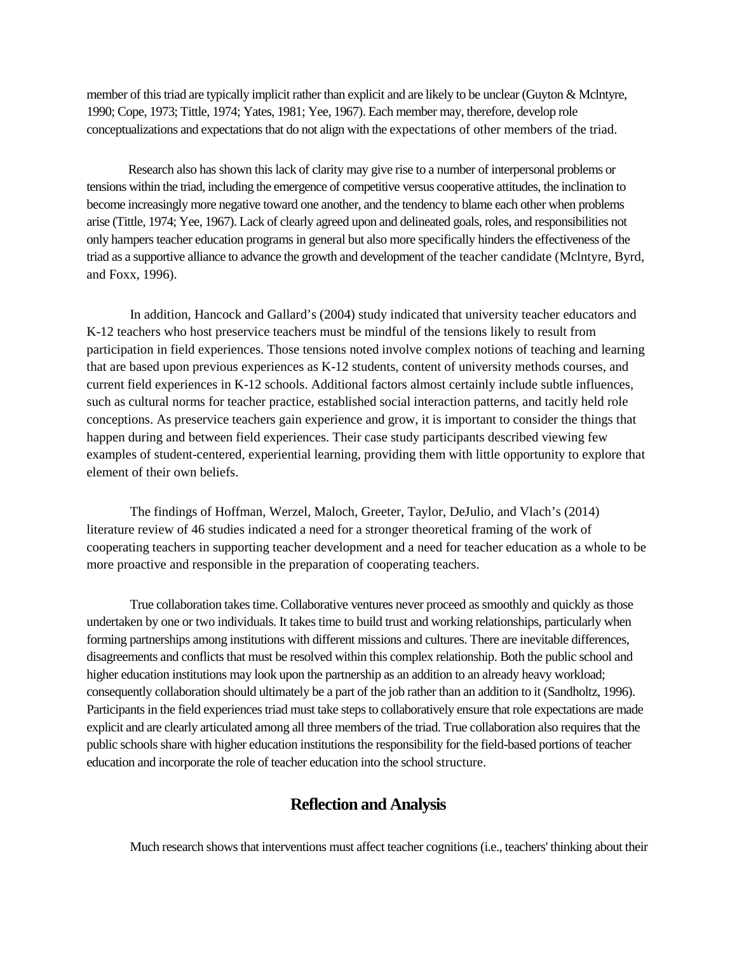member of this triad are typically implicit rather than explicit and are likely to be unclear (Guyton & Mclntyre, 1990; Cope, 1973; Tittle, 1974; Yates, 1981; Yee, 1967). Each member may, therefore, develop role conceptualizations and expectations that do not align with the expectations of other members of the triad.

Research also has shown this lack of clarity may give rise to a number of interpersonal problems or tensions within the triad, including the emergence of competitive versus cooperative attitudes, the inclination to become increasingly more negative toward one another, and the tendency to blame each other when problems arise (Tittle, 1974; Yee, 1967). Lack of clearly agreed upon and delineated goals, roles, and responsibilities not only hampers teacher education programs in general but also more specifically hinders the effectiveness of the triad as a supportive alliance to advance the growth and development of the teacher candidate (Mclntyre, Byrd, and Foxx, 1996).

In addition, Hancock and Gallard's (2004) study indicated that university teacher educators and K-12 teachers who host preservice teachers must be mindful of the tensions likely to result from participation in field experiences. Those tensions noted involve complex notions of teaching and learning that are based upon previous experiences as K-12 students, content of university methods courses, and current field experiences in K-12 schools. Additional factors almost certainly include subtle influences, such as cultural norms for teacher practice, established social interaction patterns, and tacitly held role conceptions. As preservice teachers gain experience and grow, it is important to consider the things that happen during and between field experiences. Their case study participants described viewing few examples of student-centered, experiential learning, providing them with little opportunity to explore that element of their own beliefs.

The findings of Hoffman, Werzel, Maloch, Greeter, Taylor, DeJulio, and Vlach's (2014) literature review of 46 studies indicated a need for a stronger theoretical framing of the work of cooperating teachers in supporting teacher development and a need for teacher education as a whole to be more proactive and responsible in the preparation of cooperating teachers.

True collaboration takes time. Collaborative ventures never proceed as smoothly and quickly as those undertaken by one or two individuals. It takes time to build trust and working relationships, particularly when forming partnerships among institutions with different missions and cultures. There are inevitable differences, disagreements and conflicts that must be resolved within this complex relationship. Both the public school and higher education institutions may look upon the partnership as an addition to an already heavy workload; consequently collaboration should ultimately be a part of the job rather than an addition to it (Sandholtz, 1996). Participants in the field experiences triad must take steps to collaboratively ensure that role expectations are made explicit and are clearly articulated among all three members of the triad. True collaboration also requires that the public schools share with higher education institutions the responsibility for the field-based portions of teacher education and incorporate the role of teacher education into the school structure.

# **Reflection and Analysis**

Much research shows that interventions must affect teacher cognitions (i.e., teachers' thinking about their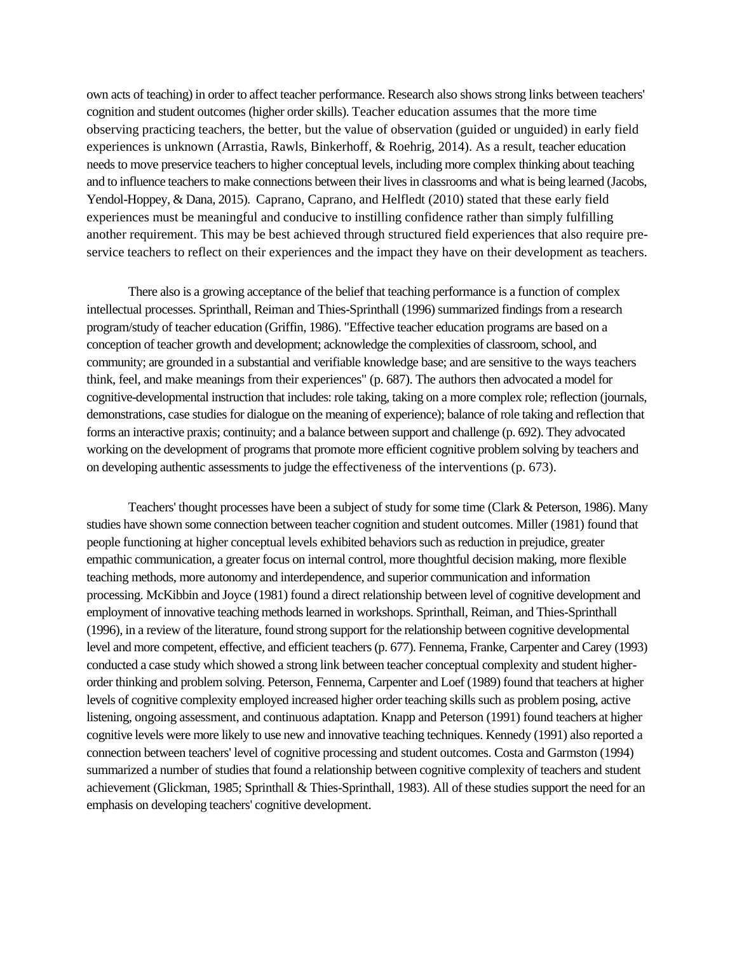own acts of teaching) in order to affect teacher performance. Research also shows strong links between teachers' cognition and student outcomes (higher order skills). Teacher education assumes that the more time observing practicing teachers, the better, but the value of observation (guided or unguided) in early field experiences is unknown (Arrastia, Rawls, Binkerhoff, & Roehrig, 2014). As a result, teacher education needs to move preservice teachers to higher conceptual levels, including more complex thinking about teaching and to influence teachers to make connections between their lives in classrooms and what is being learned (Jacobs, Yendol-Hoppey, & Dana, 2015). Caprano, Caprano, and Helfledt (2010) stated that these early field experiences must be meaningful and conducive to instilling confidence rather than simply fulfilling another requirement. This may be best achieved through structured field experiences that also require preservice teachers to reflect on their experiences and the impact they have on their development as teachers.

There also is a growing acceptance of the belief that teaching performance is a function of complex intellectual processes. Sprinthall, Reiman and Thies-Sprinthall (1996) summarized findings from a research program/study of teacher education (Griffin, 1986). "Effective teacher education programs are based on a conception of teacher growth and development; acknowledge the complexities of classroom, school, and community; are grounded in a substantial and verifiable knowledge base; and are sensitive to the ways teachers think, feel, and make meanings from their experiences" (p. 687). The authors then advocated a model for cognitive-developmental instruction that includes: role taking, taking on a more complex role; reflection (journals, demonstrations, case studies for dialogue on the meaning of experience); balance of role taking and reflection that forms an interactive praxis; continuity; and a balance between support and challenge (p. 692). They advocated working on the development of programs that promote more efficient cognitive problem solving by teachers and on developing authentic assessments to judge the effectiveness of the interventions (p. 673).

Teachers' thought processes have been a subject of study for some time (Clark & Peterson, 1986). Many studies have shown some connection between teacher cognition and student outcomes. Miller (1981) found that people functioning at higher conceptual levels exhibited behaviors such as reduction in prejudice, greater empathic communication, a greater focus on internal control, more thoughtful decision making, more flexible teaching methods, more autonomy and interdependence, and superior communication and information processing. McKibbin and Joyce (1981) found a direct relationship between level of cognitive development and employment of innovative teaching methods learned in workshops. Sprinthall, Reiman, and Thies-Sprinthall (1996), in a review of the literature, found strong support for the relationship between cognitive developmental level and more competent, effective, and efficient teachers (p. 677). Fennema, Franke, Carpenter and Carey (1993) conducted a case study which showed a strong link between teacher conceptual complexity and student higherorder thinking and problem solving. Peterson, Fennema, Carpenter and Loef (1989) found that teachers at higher levels of cognitive complexity employed increased higher order teaching skills such as problem posing, active listening, ongoing assessment, and continuous adaptation. Knapp and Peterson (1991) found teachers at higher cognitive levels were more likely to use new and innovative teaching techniques. Kennedy (1991) also reported a connection between teachers' level of cognitive processing and student outcomes. Costa and Garmston (1994) summarized a number of studies that found a relationship between cognitive complexity of teachers and student achievement (Glickman, 1985; Sprinthall & Thies-Sprinthall, 1983). All of these studies support the need for an emphasis on developing teachers' cognitive development.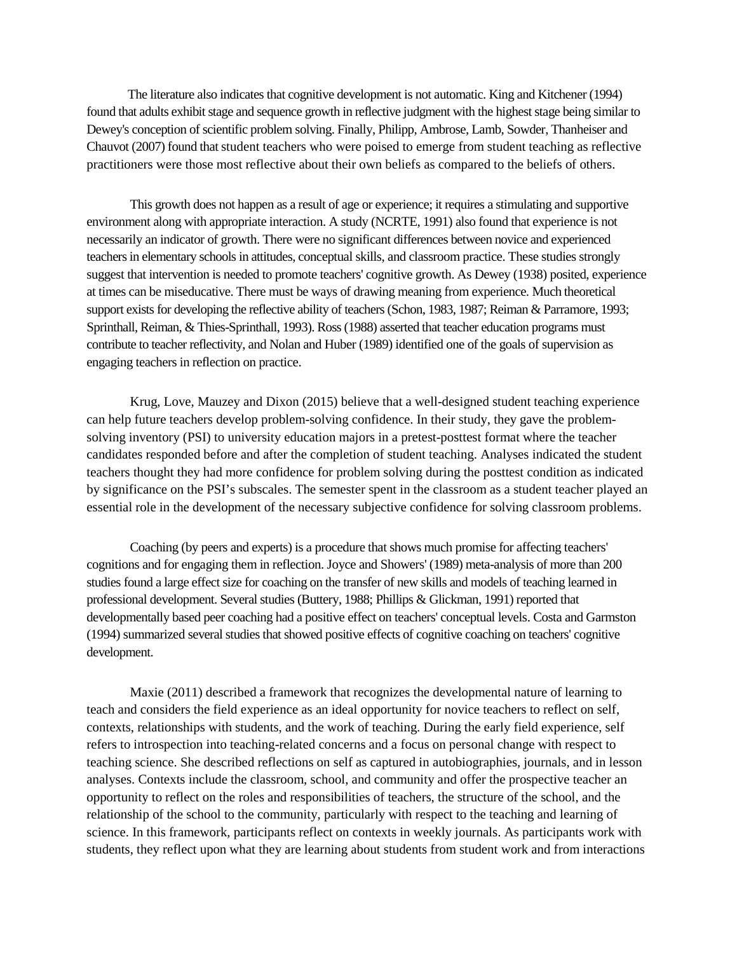The literature also indicates that cognitive development is not automatic. King and Kitchener (1994) found that adults exhibit stage and sequence growth in reflective judgment with the highest stage being similar to Dewey's conception of scientific problem solving. Finally, Philipp, Ambrose, Lamb, Sowder, Thanheiser and Chauvot (2007) found that student teachers who were poised to emerge from student teaching as reflective practitioners were those most reflective about their own beliefs as compared to the beliefs of others.

This growth does not happen as a result of age or experience; it requires a stimulating and supportive environment along with appropriate interaction. A study (NCRTE, 1991) also found that experience is not necessarily an indicator of growth. There were no significant differences between novice and experienced teachers in elementary schools in attitudes, conceptual skills, and classroom practice. These studies strongly suggest that intervention is needed to promote teachers' cognitive growth. As Dewey (1938) posited, experience at times can be miseducative. There must be ways of drawing meaning from experience. Much theoretical support exists for developing the reflective ability of teachers (Schon, 1983, 1987; Reiman & Parramore, 1993; Sprinthall, Reiman, & Thies-Sprinthall, 1993). Ross (1988) asserted that teacher education programs must contribute to teacher reflectivity, and Nolan and Huber (1989) identified one of the goals of supervision as engaging teachers in reflection on practice.

Krug, Love, Mauzey and Dixon (2015) believe that a well-designed student teaching experience can help future teachers develop problem-solving confidence. In their study, they gave the problemsolving inventory (PSI) to university education majors in a pretest-posttest format where the teacher candidates responded before and after the completion of student teaching. Analyses indicated the student teachers thought they had more confidence for problem solving during the posttest condition as indicated by significance on the PSI's subscales. The semester spent in the classroom as a student teacher played an essential role in the development of the necessary subjective confidence for solving classroom problems.

Coaching (by peers and experts) is a procedure that shows much promise for affecting teachers' cognitions and for engaging them in reflection. Joyce and Showers' (1989) meta-analysis of more than 200 studies found a large effect size for coaching on the transfer of new skills and models of teaching learned in professional development. Several studies (Buttery, 1988; Phillips & Glickman, 1991) reported that developmentally based peer coaching had a positive effect on teachers' conceptual levels. Costa and Garmston (1994) summarized several studies that showed positive effects of cognitive coaching on teachers' cognitive development.

Maxie (2011) described a framework that recognizes the developmental nature of learning to teach and considers the field experience as an ideal opportunity for novice teachers to reflect on self, contexts, relationships with students, and the work of teaching. During the early field experience, self refers to introspection into teaching-related concerns and a focus on personal change with respect to teaching science. She described reflections on self as captured in autobiographies, journals, and in lesson analyses. Contexts include the classroom, school, and community and offer the prospective teacher an opportunity to reflect on the roles and responsibilities of teachers, the structure of the school, and the relationship of the school to the community, particularly with respect to the teaching and learning of science. In this framework, participants reflect on contexts in weekly journals. As participants work with students, they reflect upon what they are learning about students from student work and from interactions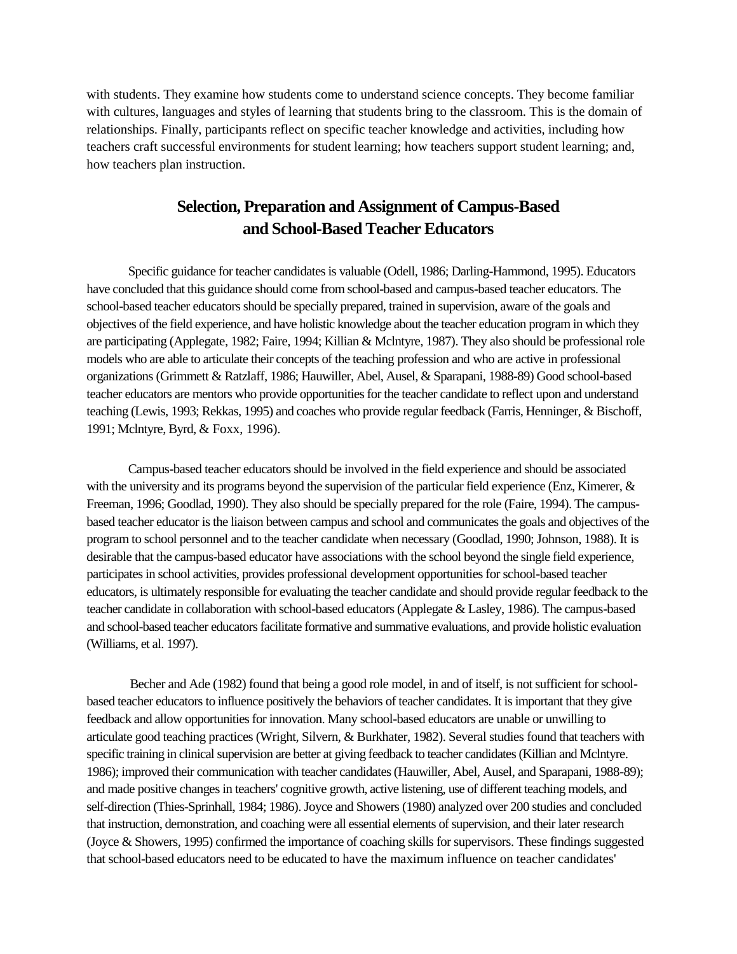with students. They examine how students come to understand science concepts. They become familiar with cultures, languages and styles of learning that students bring to the classroom. This is the domain of relationships. Finally, participants reflect on specific teacher knowledge and activities, including how teachers craft successful environments for student learning; how teachers support student learning; and, how teachers plan instruction.

# **Selection, Preparation and Assignment of Campus-Based and School-Based Teacher Educators**

Specific guidance for teacher candidates is valuable (Odell, 1986; Darling-Hammond, 1995). Educators have concluded that this guidance should come from school-based and campus-based teacher educators. The school-based teacher educators should be specially prepared, trained in supervision, aware of the goals and objectives of the field experience, and have holistic knowledge about the teacher education program in which they are participating (Applegate, 1982; Faire, 1994; Killian & Mclntyre, 1987). They also should be professional role models who are able to articulate their concepts of the teaching profession and who are active in professional organizations (Grimmett & Ratzlaff, 1986; Hauwiller, Abel, Ausel, & Sparapani, 1988-89) Good school-based teacher educators are mentors who provide opportunities for the teacher candidate to reflect upon and understand teaching (Lewis, 1993; Rekkas, 1995) and coaches who provide regular feedback (Farris, Henninger, & Bischoff, 1991; Mclntyre, Byrd, & Foxx, 1996).

Campus-based teacher educators should be involved in the field experience and should be associated with the university and its programs beyond the supervision of the particular field experience (Enz, Kimerer, & Freeman, 1996; Goodlad, 1990). They also should be specially prepared for the role (Faire, 1994). The campusbased teacher educator is the liaison between campus and school and communicates the goals and objectives of the program to school personnel and to the teacher candidate when necessary (Goodlad, 1990; Johnson, 1988). It is desirable that the campus-based educator have associations with the school beyond the single field experience, participates in school activities, provides professional development opportunities for school-based teacher educators, is ultimately responsible for evaluating the teacher candidate and should provide regular feedback to the teacher candidate in collaboration with school-based educators (Applegate & Lasley, 1986). The campus-based and school-based teacher educatorsfacilitate formative and summative evaluations, and provide holistic evaluation (Williams, et al. 1997).

Becher and Ade (1982) found that being a good role model, in and of itself, is not sufficient for schoolbased teacher educators to influence positively the behaviors of teacher candidates. It is important that they give feedback and allow opportunities for innovation. Many school-based educators are unable or unwilling to articulate good teaching practices (Wright, Silvern, & Burkhater, 1982). Several studies found that teachers with specific training in clinical supervision are better at giving feedback to teacher candidates (Killian and Mclntyre. 1986); improved their communication with teacher candidates (Hauwiller, Abel, Ausel, and Sparapani, 1988-89); and made positive changes in teachers' cognitive growth, active listening, use of different teaching models, and self-direction (Thies-Sprinhall, 1984; 1986). Joyce and Showers (1980) analyzed over 200 studies and concluded that instruction, demonstration, and coaching were all essential elements of supervision, and their later research (Joyce & Showers, 1995) confirmed the importance of coaching skills for supervisors. These findings suggested that school-based educators need to be educated to have the maximum influence on teacher candidates'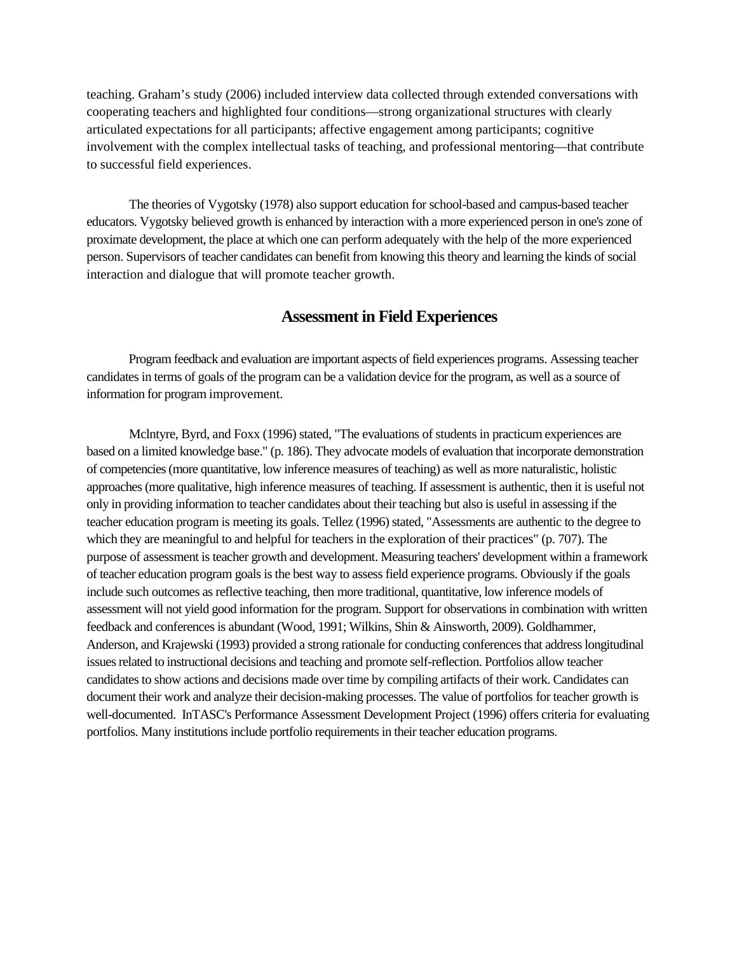teaching. Graham's study (2006) included interview data collected through extended conversations with cooperating teachers and highlighted four conditions—strong organizational structures with clearly articulated expectations for all participants; affective engagement among participants; cognitive involvement with the complex intellectual tasks of teaching, and professional mentoring—that contribute to successful field experiences.

The theories of Vygotsky (1978) also support education for school-based and campus-based teacher educators. Vygotsky believed growth is enhanced by interaction with a more experienced person in one's zone of proximate development, the place at which one can perform adequately with the help of the more experienced person. Supervisors of teacher candidates can benefit from knowing this theory and learning the kinds of social interaction and dialogue that will promote teacher growth.

# **Assessment in Field Experiences**

Program feedback and evaluation are important aspects of field experiences programs. Assessing teacher candidates in terms of goals of the program can be a validation device for the program, as well as a source of information for program improvement.

Mclntyre, Byrd, and Foxx (1996) stated, "The evaluations of students in practicum experiences are based on a limited knowledge base." (p. 186). They advocate models of evaluation that incorporate demonstration of competencies (more quantitative, low inference measures of teaching) as well as more naturalistic, holistic approaches (more qualitative, high inference measures of teaching. If assessment is authentic, then it is useful not only in providing information to teacher candidates about their teaching but also is useful in assessing if the teacher education program is meeting its goals. Tellez (1996) stated, "Assessments are authentic to the degree to which they are meaningful to and helpful for teachers in the exploration of their practices" (p. 707). The purpose of assessment is teacher growth and development. Measuring teachers' development within a framework of teacher education program goals is the best way to assess field experience programs. Obviously if the goals include such outcomes as reflective teaching, then more traditional, quantitative, low inference models of assessment will not yield good information for the program. Support for observations in combination with written feedback and conferences is abundant (Wood, 1991; Wilkins, Shin & Ainsworth, 2009). Goldhammer, Anderson, and Krajewski (1993) provided a strong rationale for conducting conferences that address longitudinal issues related to instructional decisions and teaching and promote self-reflection. Portfolios allow teacher candidates to show actions and decisions made over time by compiling artifacts of their work. Candidates can document their work and analyze their decision-making processes. The value of portfolios for teacher growth is well-documented. InTASC's Performance Assessment Development Project (1996) offers criteria for evaluating portfolios. Many institutions include portfolio requirements in their teacher education programs.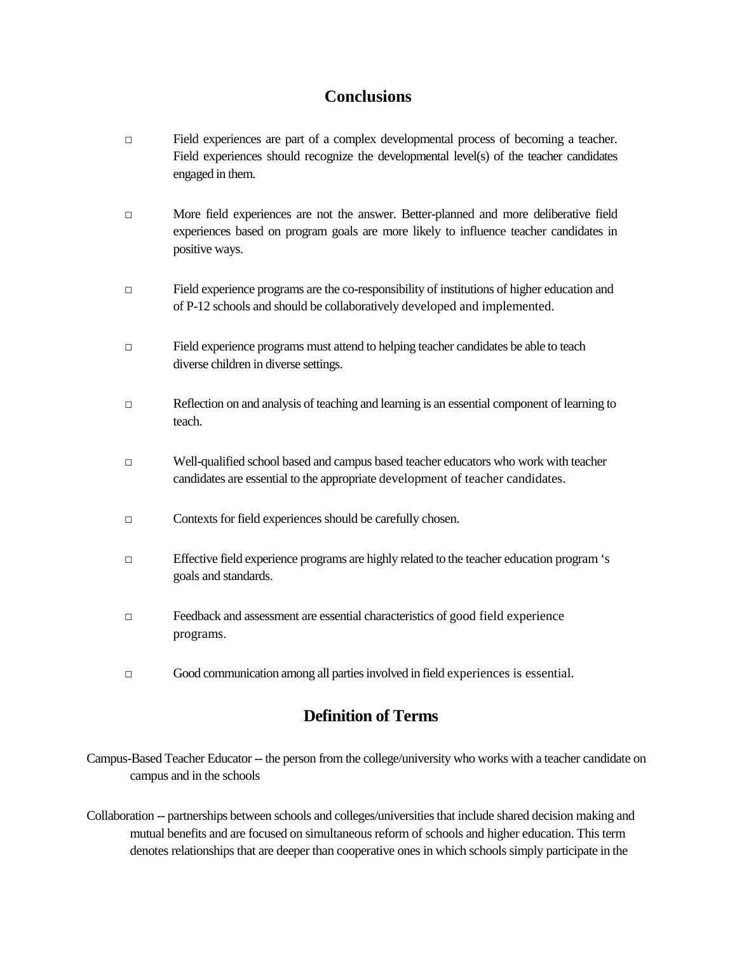# **Conclusions**

- □ Field experiences are part of a complex developmental process of becoming a teacher. Field experiences should recognize the developmental level(s) of the teacher candidates engaged in them.
- □ More field experiences are not the answer. Better-planned and more deliberative field experiences based on program goals are more likely to influence teacher candidates in positive ways.
- □ Field experience programs are the co-responsibility of institutions of higher education and of P-12 schools and should be collaboratively developed and implemented.
- □ Field experience programs must attend to helping teacher candidates be able to teach diverse children in diverse settings.
- □ Reflection on and analysis of teaching and learning is an essential component of learning to teach.
- □ Well-qualified school based and campus based teacher educators who work with teacher candidates are essential to the appropriate development of teacher candidates.
- □ Contexts for field experiences should be carefully chosen.
- □ Effective field experience programs are highly related to the teacher education program 's goals and standards.
- □ Feedback and assessment are essential characteristics of good field experience programs.
- □ Good communication among all parties involved in field experiences is essential.

# **Definition of Terms**

- Campus-Based Teacher Educator -- the person from the college/university who works with a teacher candidate on campus and in the schools
- Collaboration -- partnerships between schools and colleges/universities that include shared decision making and mutual benefits and are focused on simultaneous reform of schools and higher education. This term denotes relationships that are deeper than cooperative ones in which schools simply participate in the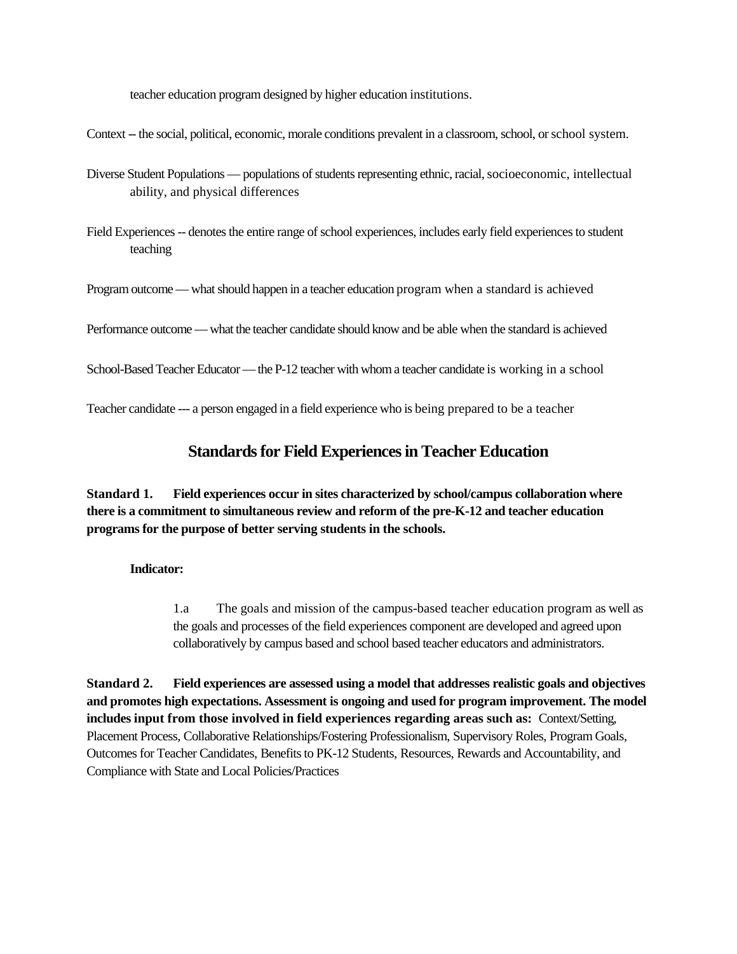teacher education program designed by higher education institutions.

Context -- the social, political, economic, morale conditions prevalent in a classroom, school, or school system.

- Diverse Student Populations populations of students representing ethnic, racial, socioeconomic, intellectual ability, and physical differences
- Field Experiences -- denotes the entire range of school experiences, includes early field experiences to student teaching

Program outcome — what should happen in a teacher education program when a standard is achieved

Performance outcome —what the teacher candidate should know and be able when the standard is achieved

School-Based Teacher Educator — the P-12 teacher with whom a teacher candidate is working in a school

Teacher candidate --- a person engaged in a field experience who is being prepared to be a teacher

# **Standards for Field Experiences in Teacher Education**

**Standard 1. Field experiences occur in sites characterized by school/campus collaboration where there is a commitment to simultaneous review and reform of the pre-K-12 and teacher education programs for the purpose of better serving students in the schools.**

# **Indicator:**

1.a The goals and mission of the campus-based teacher education program as well as the goals and processes of the field experiences component are developed and agreed upon collaboratively by campus based and school based teacher educators and administrators.

**Standard 2. Field experiences are assessed using a model that addresses realistic goals and objectives and promotes high expectations. Assessment is ongoing and used for program improvement. The model includes input from those involved in field experiences regarding areas such as:** Context/Setting, Placement Process, Collaborative Relationships/Fostering Professionalism, Supervisory Roles, Program Goals, Outcomes for Teacher Candidates, Benefits to PK-12 Students, Resources, Rewards and Accountability, and Compliance with State and Local Policies/Practices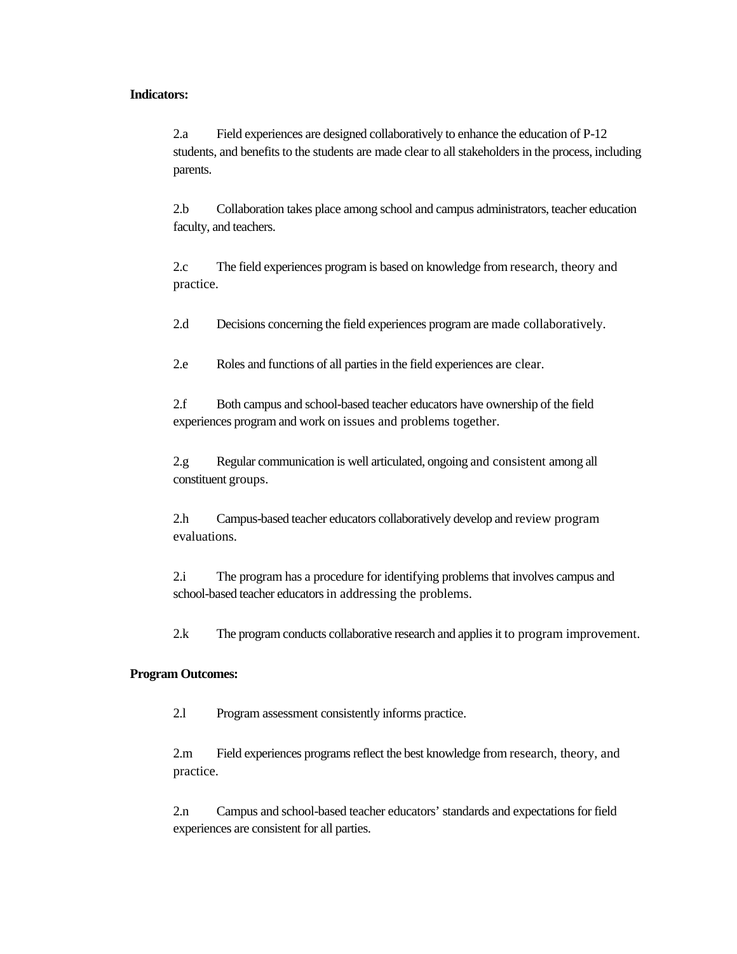#### **Indicators:**

2.a Field experiences are designed collaboratively to enhance the education of P-12 students, and benefits to the students are made clear to all stakeholders in the process, including parents.

2.b Collaboration takes place among school and campus administrators, teacher education faculty, and teachers.

2.c The field experiences program is based on knowledge from research, theory and practice.

2.d Decisions concerning the field experiences program are made collaboratively.

2.e Roles and functions of all parties in the field experiences are clear.

2.f Both campus and school-based teacher educators have ownership of the field experiences program and work on issues and problems together.

2.g Regular communication is well articulated, ongoing and consistent among all constituent groups.

2.h Campus-based teacher educators collaboratively develop and review program evaluations.

2.i The program has a procedure for identifying problems that involves campus and school-based teacher educators in addressing the problems.

2.k The program conducts collaborative research and applies it to program improvement.

### **Program Outcomes:**

2.l Program assessment consistently informs practice.

2.m Field experiences programs reflect the best knowledge from research, theory, and practice.

2.n Campus and school-based teacher educators' standards and expectations for field experiences are consistent for all parties.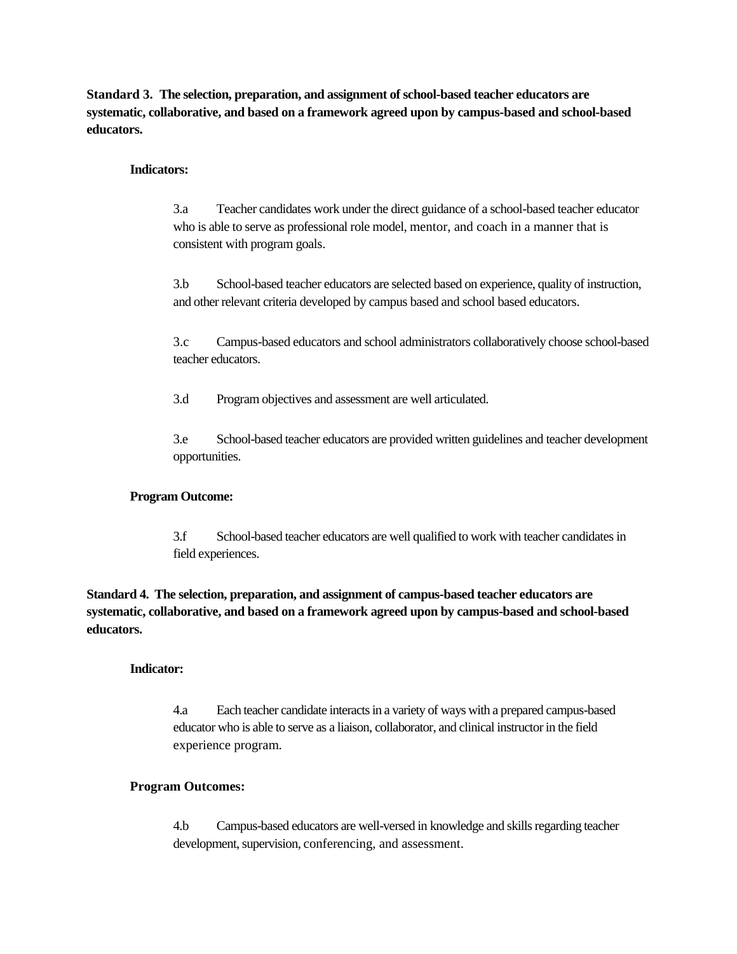**Standard 3. The selection, preparation, and assignment of school-based teacher educators are systematic, collaborative, and based on a framework agreed upon by campus-based and school-based educators.**

## **Indicators:**

3.a Teacher candidates work under the direct guidance of a school-based teacher educator who is able to serve as professional role model, mentor, and coach in a manner that is consistent with program goals.

3.b School-based teacher educators are selected based on experience, quality of instruction, and other relevant criteria developed by campus based and school based educators.

3.c Campus-based educators and school administrators collaboratively choose school-based teacher educators.

3.d Program objectives and assessment are well articulated.

3.e School-based teacher educators are provided written guidelines and teacher development opportunities.

## **Program Outcome:**

3.f School-based teacher educators are well qualified to work with teacher candidates in field experiences.

**Standard 4. The selection, preparation, and assignment of campus-based teacher educators are systematic, collaborative, and based on a framework agreed upon by campus-based and school-based educators.**

### **Indicator:**

4.a Each teacher candidate interacts in a variety of ways with a prepared campus-based educator who is able to serve as a liaison, collaborator, and clinical instructor in the field experience program.

### **Program Outcomes:**

4.b Campus-based educators are well-versed in knowledge and skills regarding teacher development, supervision, conferencing, and assessment.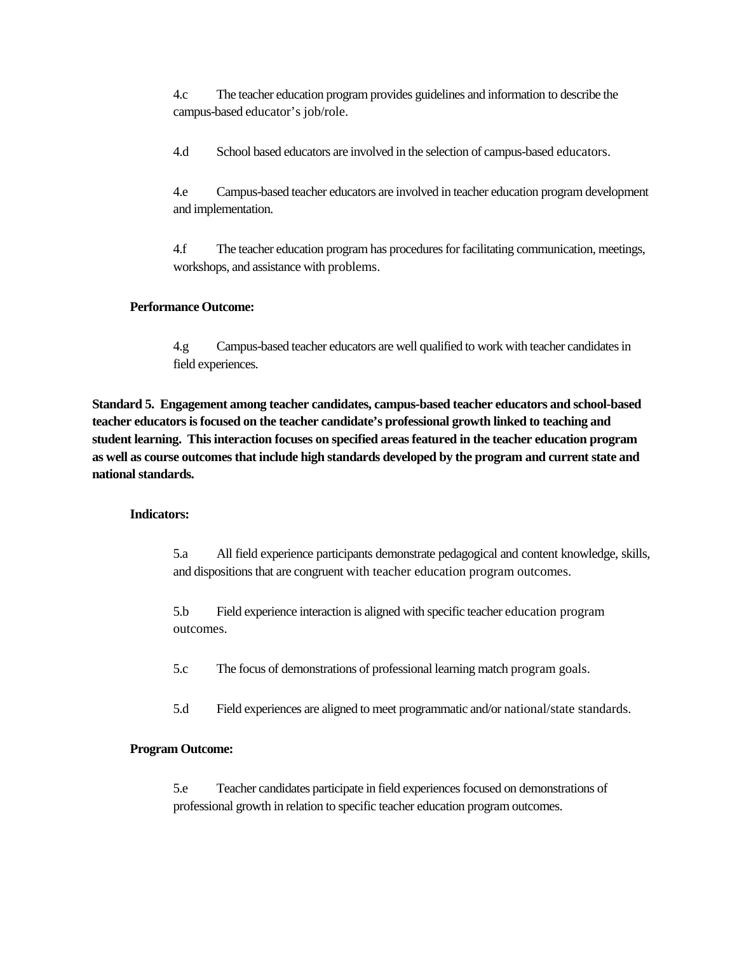4.c The teacher education program provides guidelines and information to describe the campus-based educator's job/role.

4.d School based educators are involved in the selection of campus-based educators.

4.e Campus-based teacher educators are involved in teacher education program development and implementation.

4.f The teacher education program has procedures for facilitating communication, meetings, workshops, and assistance with problems.

# **Performance Outcome:**

4.g Campus-based teacher educators are well qualified to work with teacher candidates in field experiences.

**Standard 5. Engagement among teacher candidates, campus-based teacher educators and school-based teacher educators is focused on the teacher candidate's professional growth linked to teaching and student learning. This interaction focuses on specified areas featured in the teacher education program as well as course outcomes that include high standards developed by the program and current state and national standards.**

# **Indicators:**

5.a All field experience participants demonstrate pedagogical and content knowledge, skills, and dispositions that are congruent with teacher education program outcomes.

5.b Field experience interaction is aligned with specific teacher education program outcomes.

5.c The focus of demonstrations of professional learning match program goals.

5.d Field experiences are aligned to meet programmatic and/or national/state standards.

# **Program Outcome:**

5.e Teacher candidates participate in field experiences focused on demonstrations of professional growth in relation to specific teacher education program outcomes.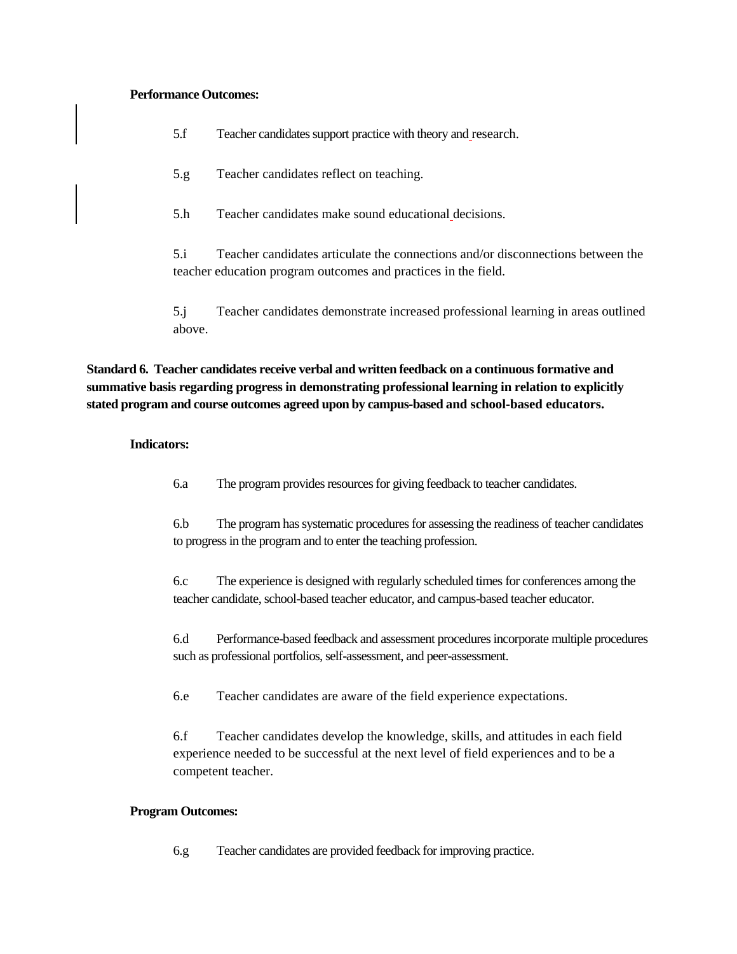### **Performance Outcomes:**

5.f Teacher candidates support practice with theory and research.

5.g Teacher candidates reflect on teaching.

5.h Teacher candidates make sound educational decisions.

5.i Teacher candidates articulate the connections and/or disconnections between the teacher education program outcomes and practices in the field.

5.j Teacher candidates demonstrate increased professional learning in areas outlined above.

**Standard 6. Teacher candidates receive verbal and written feedback on a continuous formative and summative basis regarding progress in demonstrating professional learning in relation to explicitly stated program and course outcomes agreed upon by campus-based and school-based educators.**

# **Indicators:**

6.a The program provides resources for giving feedback to teacher candidates.

6.b The program has systematic procedures for assessing the readiness of teacher candidates to progress in the program and to enter the teaching profession.

6.c The experience is designed with regularly scheduled times for conferences among the teacher candidate, school-based teacher educator, and campus-based teacher educator.

6.d Performance-based feedback and assessment procedures incorporate multiple procedures such as professional portfolios, self-assessment, and peer-assessment.

6.e Teacher candidates are aware of the field experience expectations.

6.f Teacher candidates develop the knowledge, skills, and attitudes in each field experience needed to be successful at the next level of field experiences and to be a competent teacher.

# **Program Outcomes:**

6.g Teacher candidates are provided feedback for improving practice.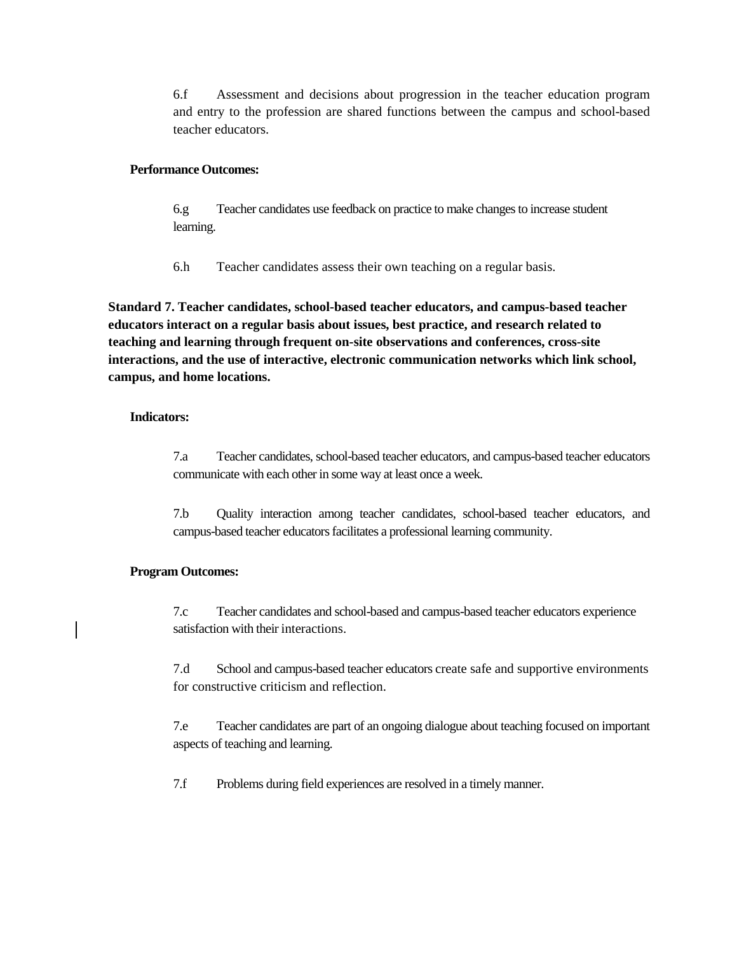6.f Assessment and decisions about progression in the teacher education program and entry to the profession are shared functions between the campus and school-based teacher educators.

## **Performance Outcomes:**

6.g Teacher candidates use feedback on practice to make changes to increase student learning.

6.h Teacher candidates assess their own teaching on a regular basis.

**Standard 7. Teacher candidates, school-based teacher educators, and campus-based teacher educators interact on a regular basis about issues, best practice, and research related to teaching and learning through frequent on-site observations and conferences, cross-site interactions, and the use of interactive, electronic communication networks which link school, campus, and home locations.**

# **Indicators:**

7.a Teacher candidates, school-based teacher educators, and campus-based teacher educators communicate with each other in some way at least once a week.

7.b Quality interaction among teacher candidates, school-based teacher educators, and campus-based teacher educators facilitates a professional learning community.

# **Program Outcomes:**

7.c Teacher candidates and school-based and campus-based teacher educators experience satisfaction with their interactions.

7.d School and campus-based teacher educators create safe and supportive environments for constructive criticism and reflection.

7.e Teacher candidates are part of an ongoing dialogue about teaching focused on important aspects of teaching and learning.

7.f Problems during field experiences are resolved in a timely manner.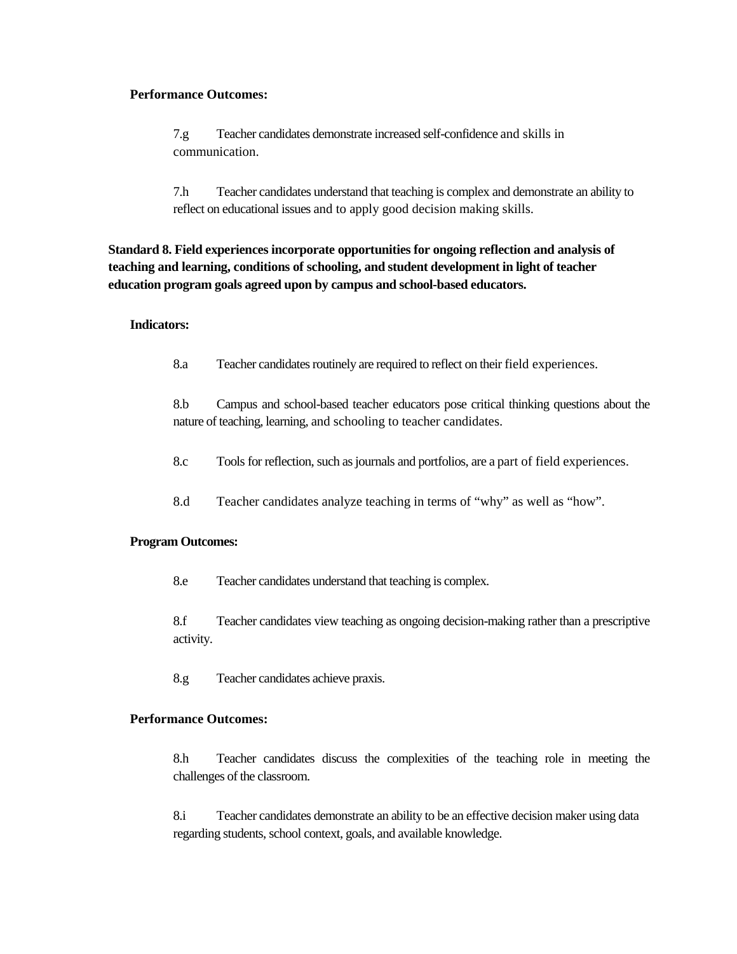## **Performance Outcomes:**

7.g Teacher candidates demonstrate increased self-confidence and skills in communication.

7.h Teacher candidates understand that teaching is complex and demonstrate an ability to reflect on educational issues and to apply good decision making skills.

**Standard 8. Field experiences incorporate opportunities for ongoing reflection and analysis of teaching and learning, conditions of schooling, and student development in light of teacher education program goals agreed upon by campus and school-based educators.**

## **Indicators:**

8.a Teacher candidates routinely are required to reflect on their field experiences.

8.b Campus and school-based teacher educators pose critical thinking questions about the nature of teaching, learning, and schooling to teacher candidates.

8.c Tools for reflection, such as journals and portfolios, are a part of field experiences.

8.d Teacher candidates analyze teaching in terms of "why" as well as "how".

#### **Program Outcomes:**

8.e Teacher candidates understand that teaching is complex.

8.f Teacher candidates view teaching as ongoing decision-making rather than a prescriptive activity.

8.g Teacher candidates achieve praxis.

# **Performance Outcomes:**

8.h Teacher candidates discuss the complexities of the teaching role in meeting the challenges of the classroom.

8.i Teacher candidates demonstrate an ability to be an effective decision maker using data regarding students, school context, goals, and available knowledge.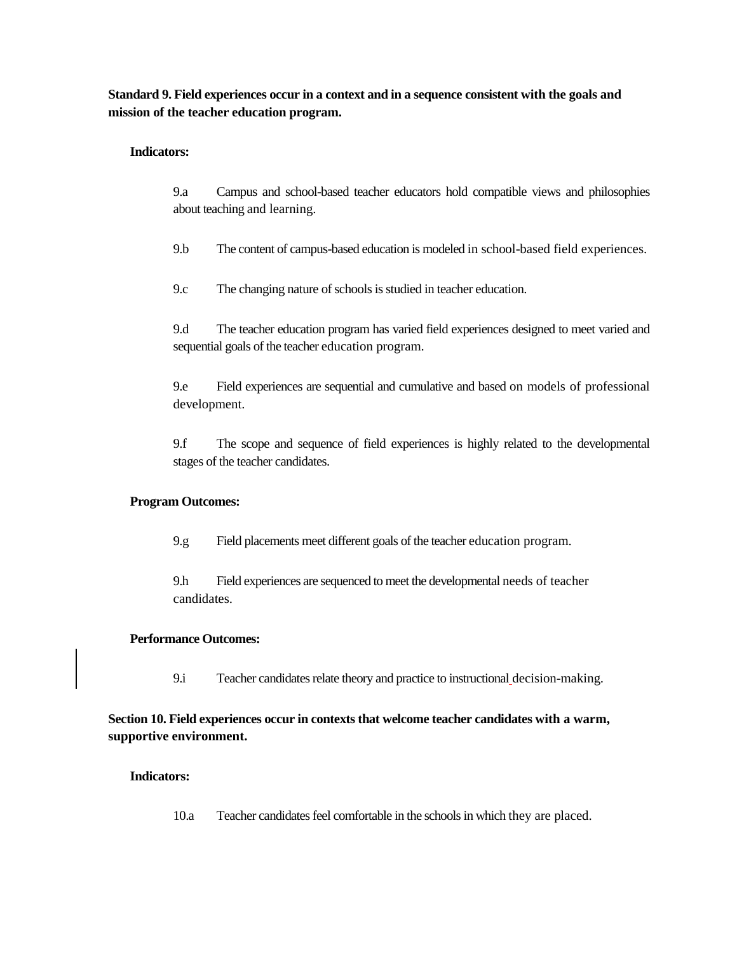**Standard 9. Field experiences occur in a context and in a sequence consistent with the goals and mission of the teacher education program.**

# **Indicators:**

9.a Campus and school-based teacher educators hold compatible views and philosophies about teaching and learning.

9.b The content of campus-based education is modeled in school-based field experiences.

9.c The changing nature of schools is studied in teacher education.

9.d The teacher education program has varied field experiences designed to meet varied and sequential goals of the teacher education program.

9.e Field experiences are sequential and cumulative and based on models of professional development.

9.f The scope and sequence of field experiences is highly related to the developmental stages of the teacher candidates.

# **Program Outcomes:**

9.g Field placements meet different goals of the teacher education program.

9.h Field experiences are sequenced to meet the developmental needs of teacher candidates.

# **Performance Outcomes:**

9.i Teacher candidates relate theory and practice to instructional decision-making.

**Section 10. Field experiences occur in contexts that welcome teacher candidates with a warm, supportive environment.**

# **Indicators:**

10.a Teacher candidates feel comfortable in the schools in which they are placed.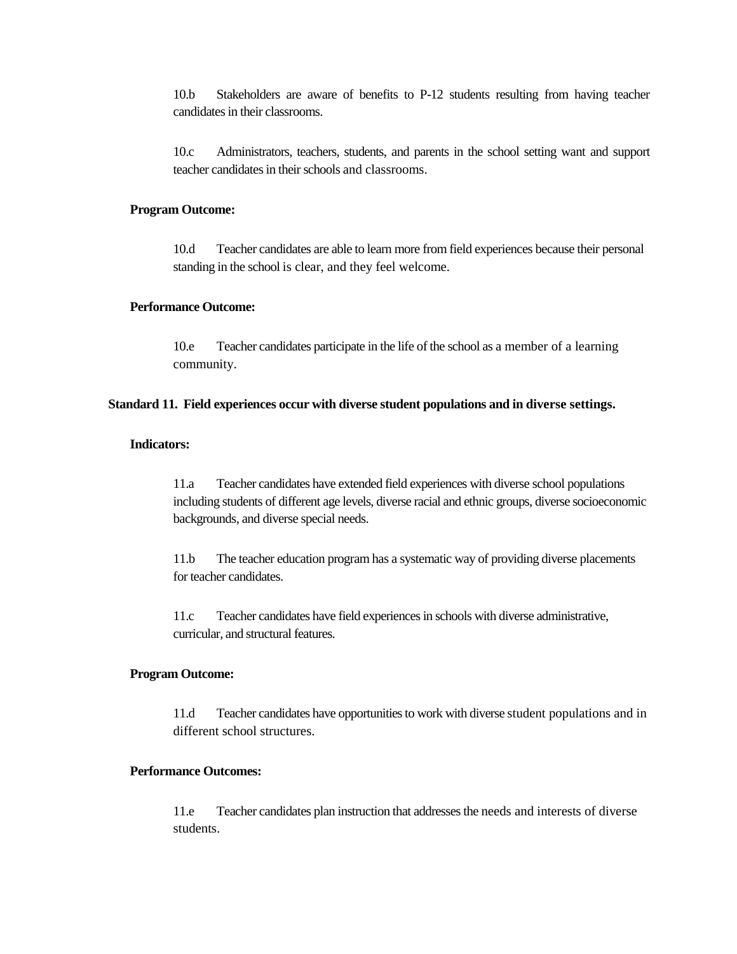10.b Stakeholders are aware of benefits to P-12 students resulting from having teacher candidates in their classrooms.

10.c Administrators, teachers, students, and parents in the school setting want and support teacher candidates in their schools and classrooms.

### **Program Outcome:**

10.d Teacher candidates are able to learn more from field experiences because their personal standing in the school is clear, and they feel welcome.

## **Performance Outcome:**

10.e Teacher candidates participate in the life of the school as a member of a learning community.

#### **Standard 11. Field experiences occur with diverse student populations and in diverse settings.**

# **Indicators:**

11.a Teacher candidates have extended field experiences with diverse school populations including students of different age levels, diverse racial and ethnic groups, diverse socioeconomic backgrounds, and diverse special needs.

11.b The teacher education program has a systematic way of providing diverse placements for teacher candidates.

11.c Teacher candidates have field experiences in schools with diverse administrative, curricular, and structural features.

#### **Program Outcome:**

11.d Teacher candidates have opportunities to work with diverse student populations and in different school structures.

## **Performance Outcomes:**

11.e Teacher candidates plan instruction that addresses the needs and interests of diverse students.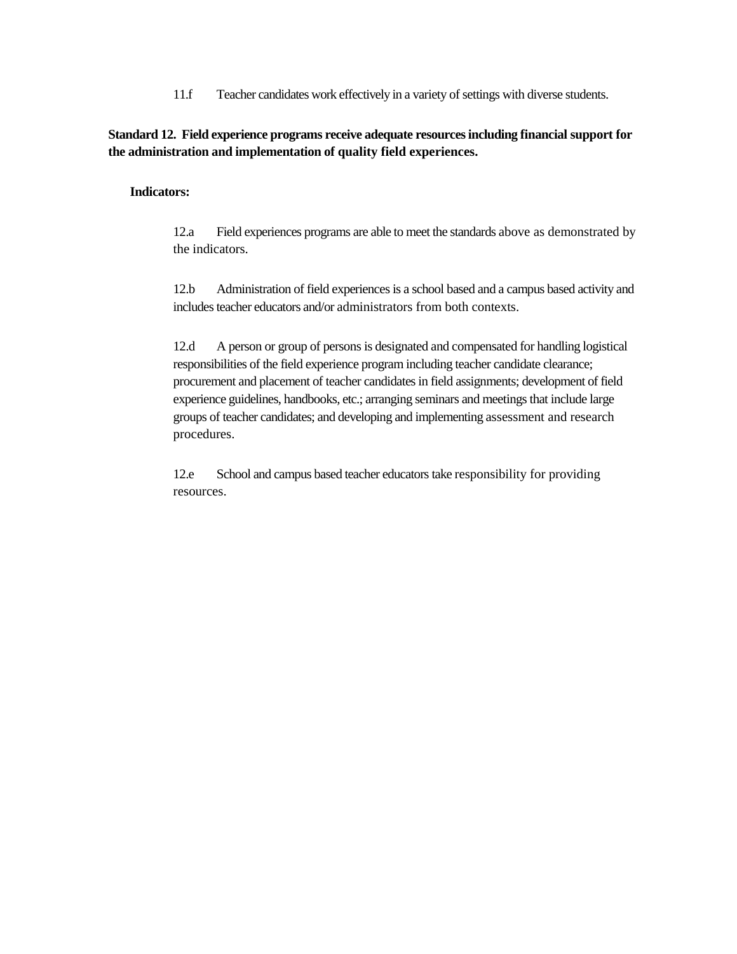11.f Teacher candidates work effectively in a variety of settings with diverse students.

**Standard 12. Field experience programs receive adequate resources including financial support for the administration and implementation of quality field experiences.**

## **Indicators:**

12.a Field experiences programs are able to meet the standards above as demonstrated by the indicators.

12.b Administration of field experiences is a school based and a campus based activity and includes teacher educators and/or administrators from both contexts.

12.d A person or group of persons is designated and compensated for handling logistical responsibilities of the field experience program including teacher candidate clearance; procurement and placement of teacher candidates in field assignments; development of field experience guidelines, handbooks, etc.; arranging seminars and meetings that include large groups of teacher candidates; and developing and implementing assessment and research procedures.

12.e School and campus based teacher educators take responsibility for providing resources.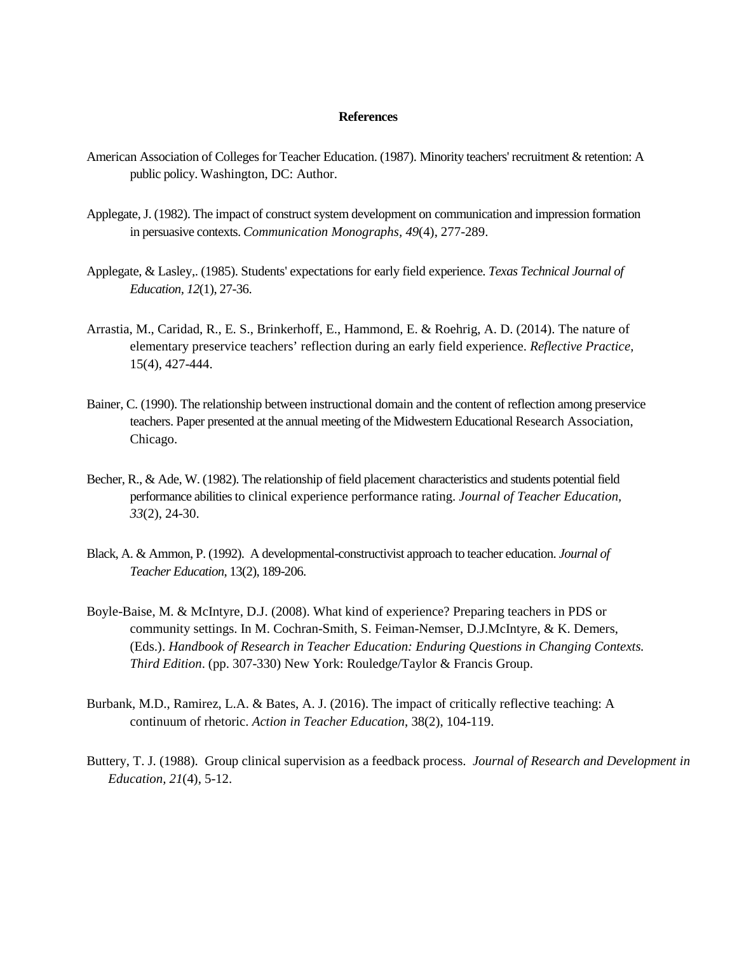### **References**

- American Association of Colleges for Teacher Education. (1987). Minority teachers' recruitment & retention: A public policy. Washington, DC: Author.
- Applegate, J. (1982). The impact of construct system development on communication and impression formation in persuasive contexts. *Communication Monographs, 49*(4), 277-289.
- Applegate, & Lasley,. (1985). Students' expectations for early field experience. *Texas Technical Journal of Education, 12*(1), 27-36.
- [Arrastia, M., Caridad,](javascript:__doLinkPostBack() [R., E. S.,](javascript:__doLinkPostBack() [Brinkerhoff, E., Hammond,](javascript:__doLinkPostBack() E. & [Roehrig, A. D.](javascript:__doLinkPostBack() (2014). The nature of elementary preservice teachers' reflection during an early field experience. *[Reflective Practice,](javascript:__doLinkPostBack()* 15(4), 427-444.
- Bainer, C. (1990). The relationship between instructional domain and the content of reflection among preservice teachers. Paper presented at the annual meeting of the Midwestern Educational Research Association, Chicago.
- Becher, R., & Ade, W. (1982). The relationship of field placement characteristics and students potential field performance abilities to clinical experience performance rating. *Journal of Teacher Education, 33*(2), 24-30.
- Black, A. & Ammon, P. (1992). A developmental-constructivist approach to teacher education. *Journal of Teacher Education*, 13(2), 189-206.
- Boyle-Baise, M. & McIntyre, D.J. (2008). What kind of experience? Preparing teachers in PDS or community settings. In M. Cochran-Smith, S. Feiman-Nemser, D.J.McIntyre, & K. Demers, (Eds.). *Handbook of Research in Teacher Education: Enduring Questions in Changing Contexts. Third Edition*. (pp. 307-330) New York: Rouledge/Taylor & Francis Group.
- Burbank, M.D., Ramirez, L.A. & Bates, A. J. (2016). The impact of critically reflective teaching: A continuum of rhetoric. *Action in Teacher Education*, 38(2), 104-119.
- Buttery, T. J. (1988). Group clinical supervision as a feedback process. *Journal of Research and Development in Education, 21*(4), 5-12.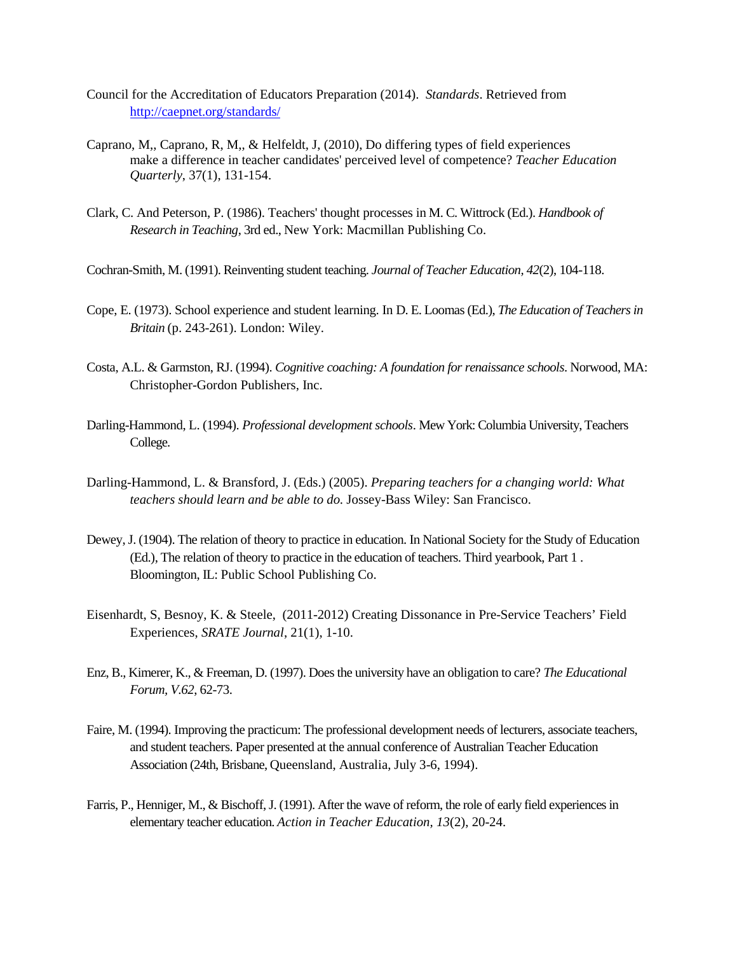- Council for the Accreditation of Educators Preparation (2014). *Standards*. Retrieved from <http://caepnet.org/standards/>
- Caprano, M,, Caprano, R, M,, & Helfeldt, J, (2010), Do differing types of field experiences make a difference in teacher candidates' perceived level of competence? *Teacher Education Quarterly*, 37(1), 131-154.
- Clark, C. And Peterson, P. (1986). Teachers' thought processes in M. C. Wittrock (Ed.). *Handbook of Research in Teaching*, 3rd ed., New York: Macmillan Publishing Co.
- Cochran-Smith, M. (1991). Reinventing student teaching. *Journal of Teacher Education, 42*(2), 104-118.
- Cope, E. (1973). School experience and student learning. In D. E. Loomas (Ed.), *The Education of Teachers in Britain* (p. 243-261). London: Wiley.
- Costa, A.L. & Garmston, RJ. (1994). *Cognitive coaching: A foundation for renaissance schools*. Norwood, MA: Christopher-Gordon Publishers, Inc.
- Darling-Hammond, L. (1994). *Professional development schools*. Mew York: Columbia University, Teachers College.
- Darling-Hammond, L. & Bransford, J. (Eds.) (2005). *Preparing teachers for a changing world: What teachers should learn and be able to do.* Jossey-Bass Wiley: San Francisco.
- Dewey, J. (1904). The relation of theory to practice in education. In National Society for the Study of Education (Ed.), The relation of theory to practice in the education of teachers. Third yearbook, Part 1 . Bloomington, IL: Public School Publishing Co.
- Eisenhardt, S, Besnoy, K. & Steele, (2011-2012) Creating Dissonance in Pre-Service Teachers' Field Experiences, *SRATE Journal*, 21(1), 1-10.
- Enz, B., Kimerer, K., & Freeman, D. (1997). Does the university have an obligation to care? *The Educational Forum, V.62*, 62-73.
- Faire, M. (1994). Improving the practicum: The professional development needs of lecturers, associate teachers, and student teachers. Paper presented at the annual conference of Australian Teacher Education Association (24th, Brisbane, Queensland, Australia, July 3-6, 1994).
- Farris, P., Henniger, M., & Bischoff, J. (1991). After the wave of reform, the role of early field experiences in elementary teacher education. *Action in Teacher Education, 13*(2), 20-24.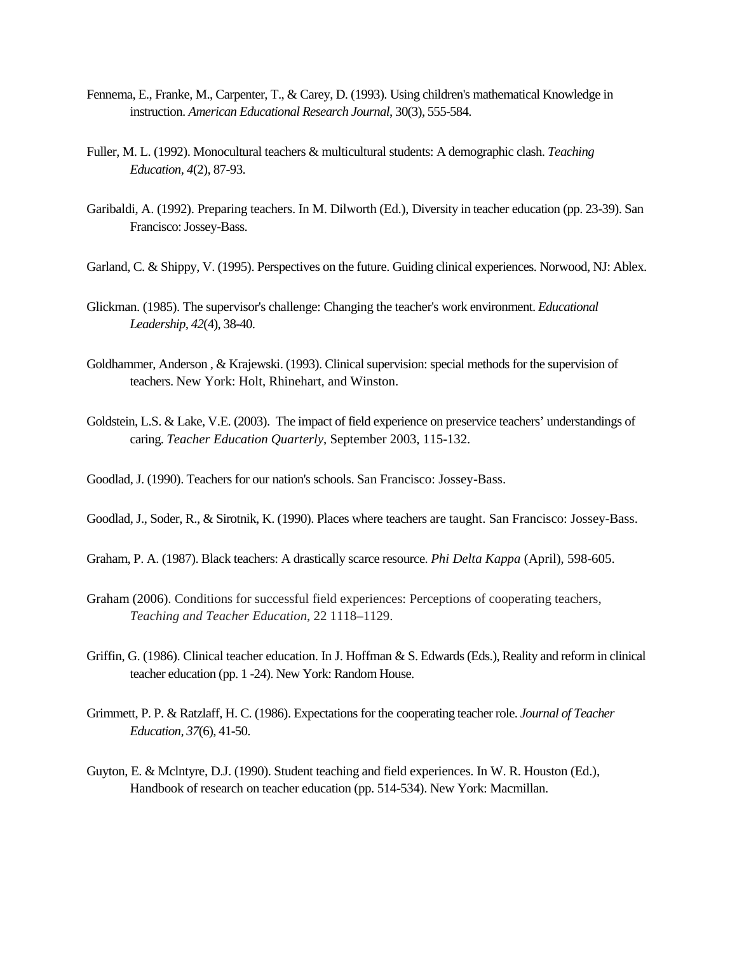- Fennema, E., Franke, M., Carpenter, T., & Carey, D. (1993). Using children's mathematical Knowledge in instruction. *American Educational Research Journal*, 30(3), 555-584.
- Fuller, M. L. (1992). Monocultural teachers & multicultural students: A demographic clash. *Teaching Education, 4*(2), 87-93.
- Garibaldi, A. (1992). Preparing teachers. In M. Dilworth (Ed.), Diversity in teacher education (pp. 23-39). San Francisco: Jossey-Bass.
- Garland, C. & Shippy, V. (1995). Perspectives on the future. Guiding clinical experiences. Norwood, NJ: Ablex.
- Glickman. (1985). The supervisor's challenge: Changing the teacher's work environment. *Educational Leadership, 42*(4), 38-40.
- Goldhammer, Anderson , & Krajewski. (1993). Clinical supervision: special methods for the supervision of teachers. New York: Holt, Rhinehart, and Winston.
- Goldstein, L.S. & Lake, V.E. (2003). The impact of field experience on preservice teachers' understandings of caring. *Teacher Education Quarterly*, September 2003, 115-132.
- Goodlad, J. (1990). Teachers for our nation's schools. San Francisco: Jossey-Bass.
- Goodlad, J., Soder, R., & Sirotnik, K. (1990). Places where teachers are taught. San Francisco: Jossey-Bass.
- Graham, P. A. (1987). Black teachers: A drastically scarce resource. *Phi Delta Kappa* (April), 598-605.
- Graham (2006). Conditions for successful field experiences: Perceptions of cooperating teachers, *Teaching and Teacher Education*, 22 1118–1129.
- Griffin, G. (1986). Clinical teacher education. In J. Hoffman & S. Edwards (Eds.), Reality and reform in clinical teacher education (pp. 1 -24). New York: Random House.
- Grimmett, P. P. & Ratzlaff, H. C. (1986). Expectations for the cooperating teacher role. *Journal of Teacher Education, 37*(6), 41-50.
- Guyton, E. & Mclntyre, D.J. (1990). Student teaching and field experiences. In W. R. Houston (Ed.), Handbook of research on teacher education (pp. 514-534). New York: Macmillan.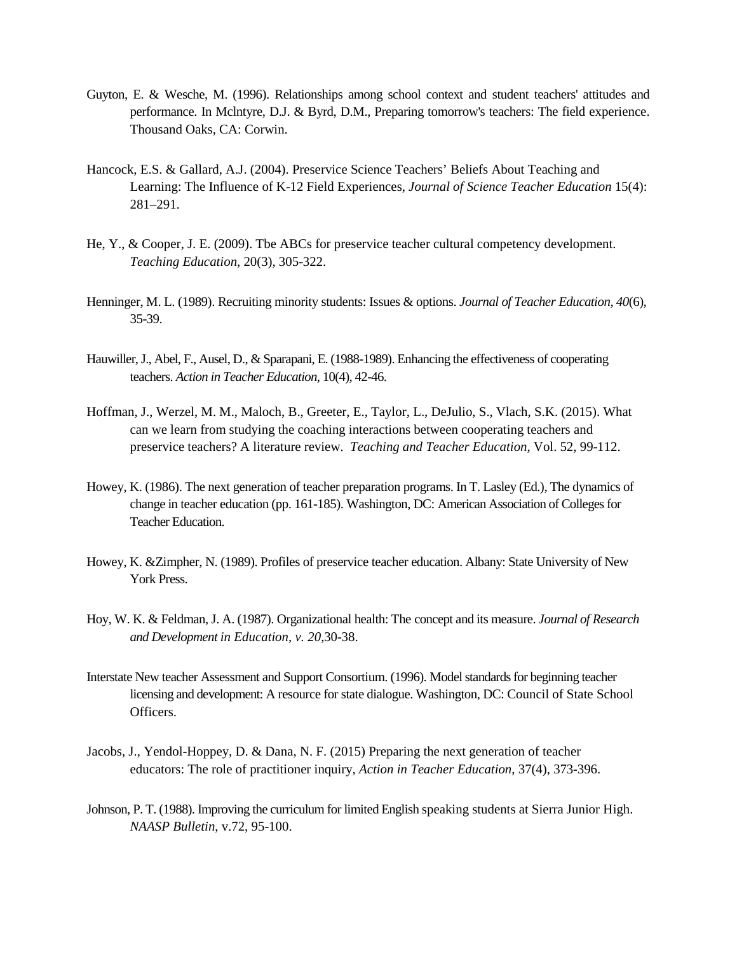- Guyton, E. & Wesche, M. (1996). Relationships among school context and student teachers' attitudes and performance. In Mclntyre, D.J. & Byrd, D.M., Preparing tomorrow's teachers: The field experience. Thousand Oaks, CA: Corwin.
- Hancock, E.S. & Gallard, A.J. (2004). Preservice Science Teachers' Beliefs About Teaching and Learning: The Influence of K-12 Field Experiences, *Journal of Science Teacher Education* 15(4): 281–291.
- He, Y., & Cooper, J. E. (2009). Tbe ABCs for preservice teacher cultural competency development. *Teaching Education*, 20(3), 305-322.
- Henninger, M. L. (1989). Recruiting minority students: Issues & options. *Journal of Teacher Education, 40*(6), 35-39.
- Hauwiller, J., Abel, F., Ausel, D., & Sparapani, E. (1988-1989). Enhancing the effectiveness of cooperating teachers. *Action in Teacher Education*, 10(4), 42-46.
- Hoffman, J., Werzel, M. M., Maloch, B., Greeter, E., Taylor, L., DeJulio, S., Vlach, S.K. (2015). What can we learn from studying the coaching interactions between cooperating teachers and preservice teachers? A literature review. *Teaching and Teacher Education*, Vol. 52, 99-112.
- Howey, K. (1986). The next generation of teacher preparation programs. In T. Lasley (Ed.), The dynamics of change in teacher education (pp. 161-185). Washington, DC: American Association of Colleges for Teacher Education.
- Howey, K. &Zimpher, N. (1989). Profiles of preservice teacher education. Albany: State University of New York Press.
- Hoy, W. K. & Feldman, J. A. (1987). Organizational health: The concept and its measure. *Journal of Research and Development in Education, v. 20*,30-38.
- Interstate New teacher Assessment and Support Consortium. (1996). Model standards for beginning teacher licensing and development: A resource for state dialogue. Washington, DC: Council of State School Officers.
- Jacobs, J., Yendol-Hoppey, D. & Dana, N. F. (2015) Preparing the next generation of teacher educators: The role of practitioner inquiry, *Action in Teacher Education*, 37(4), 373-396.
- Johnson, P. T. (1988). Improving the curriculum for limited English speaking students at Sierra Junior High. *NAASP Bulletin*, v.72, 95-100.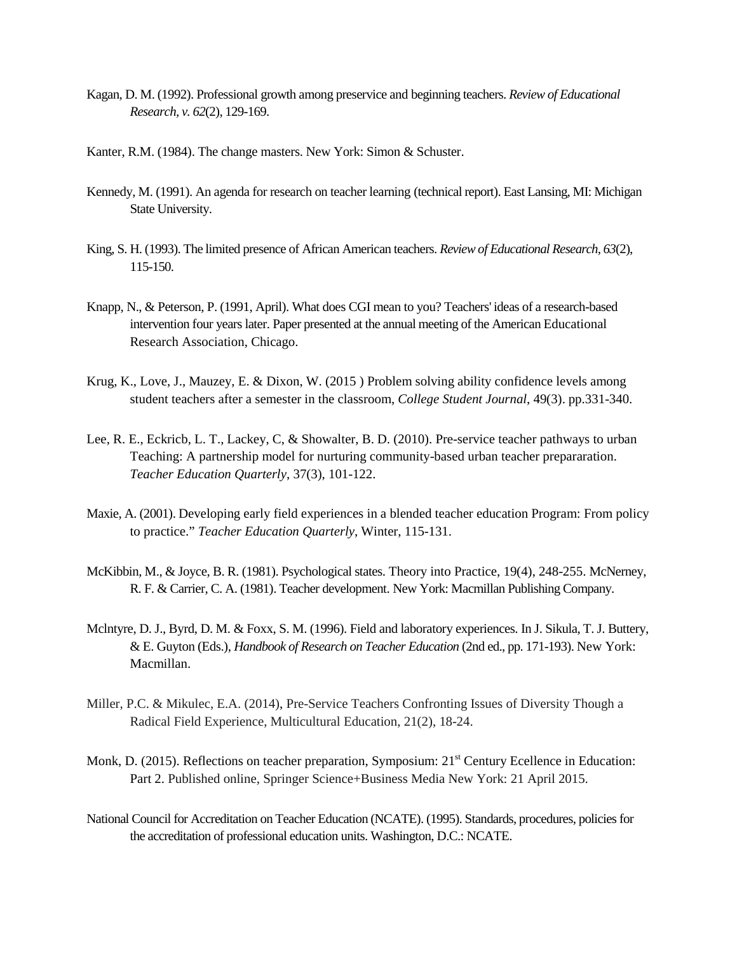- Kagan, D. M. (1992). Professional growth among preservice and beginning teachers. *Review of Educational Research, v. 62*(2), 129-169.
- Kanter, R.M. (1984). The change masters. New York: Simon & Schuster.
- Kennedy, M. (1991). An agenda for research on teacher learning (technical report). East Lansing, MI: Michigan State University.
- King, S. H. (1993). The limited presence of African American teachers. *Review of Educational Research, 63*(2), 115-150.
- Knapp, N., & Peterson, P. (1991, April). What does CGI mean to you? Teachers' ideas of a research-based intervention four years later. Paper presented at the annual meeting of the American Educational Research Association, Chicago.
- Krug, K., Love, J., Mauzey, E. & Dixon, W. (2015 ) Problem solving ability confidence levels among student teachers after a semester in the classroom, *College Student Journal*, 49(3). pp.331-340.
- Lee, R. E., Eckricb, L. T., Lackey, C, & Showalter, B. D. (2010). Pre-service teacher pathways to urban Teaching: A partnership model for nurturing community-based urban teacher prepararation. *Teacher Education Quarterly*, 37(3), 101-122.
- Maxie, A. (2001). Developing early field experiences in a blended teacher education Program: From policy to practice." *Teacher Education Quarterly*, Winter, 115-131.
- McKibbin, M., & Joyce, B. R. (1981). Psychological states. Theory into Practice, 19(4), 248-255. McNerney, R. F. & Carrier, C. A. (1981). Teacher development. New York: Macmillan Publishing Company.
- Mclntyre, D. J., Byrd, D. M. & Foxx, S. M. (1996). Field and laboratory experiences. In J. Sikula, T. J. Buttery, & E. Guyton (Eds.), *Handbook of Research on Teacher Education* (2nd ed., pp. 171-193). New York: Macmillan.
- Miller, P.C. & Mikulec, E.A. (2014), Pre-Service Teachers Confronting Issues of Diversity Though a Radical Field Experience, Multicultural Education, 21(2), 18-24.
- Monk, D. (2015). Reflections on teacher preparation, Symposium: 21<sup>st</sup> Century Ecellence in Education: Part 2. Published online, Springer Science+Business Media New York: 21 April 2015.
- National Council for Accreditation on Teacher Education (NCATE). (1995). Standards, procedures, policies for the accreditation of professional education units. Washington, D.C.: NCATE.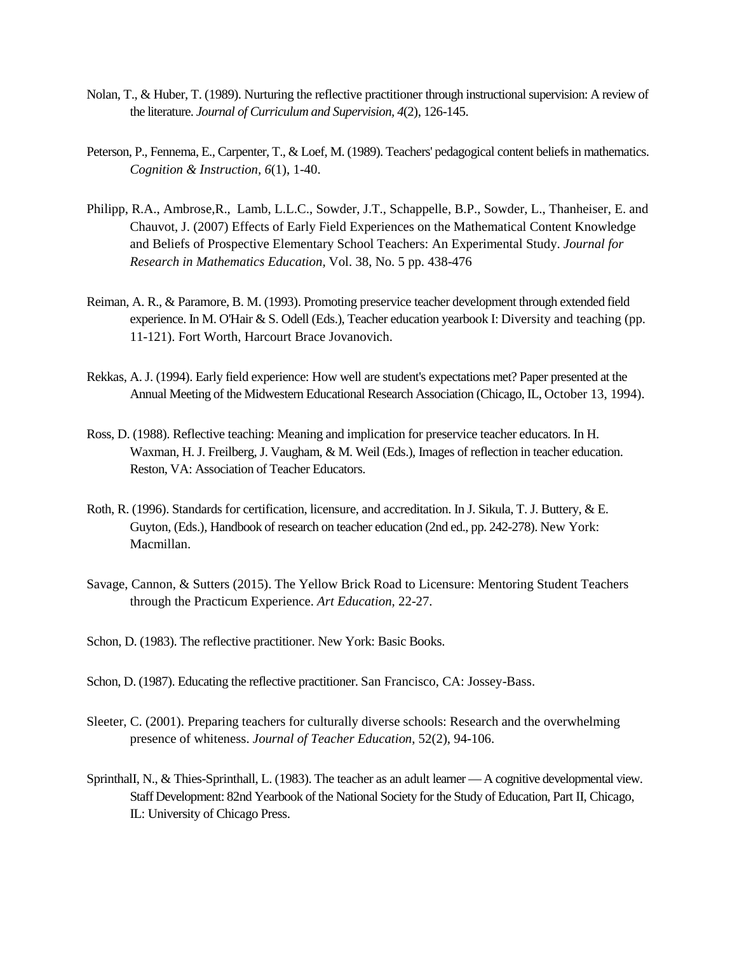- Nolan, T., & Huber, T. (1989). Nurturing the reflective practitioner through instructional supervision: A review of the literature. *Journal of Curriculum and Supervision, 4*(2), 126-145.
- Peterson, P., Fennema, E., Carpenter, T., & Loef, M. (1989). Teachers' pedagogical content beliefs in mathematics. *Cognition & Instruction, 6*(1), 1-40.
- Philipp, R.A., Ambrose,R., Lamb, L.L.C., Sowder, J.T., Schappelle, B.P., Sowder, L., Thanheiser, E. and Chauvot, J. (2007) Effects of Early Field Experiences on the Mathematical Content Knowledge and Beliefs of Prospective Elementary School Teachers: An Experimental Study. *Journal for Research in Mathematics Education,* Vol. 38, No. 5 pp. 438-476
- Reiman, A. R., & Paramore, B. M. (1993). Promoting preservice teacher development through extended field experience. In M. O'Hair & S. Odell (Eds.), Teacher education yearbook I: Diversity and teaching (pp. 11-121). Fort Worth, Harcourt Brace Jovanovich.
- Rekkas, A. J. (1994). Early field experience: How well are student's expectations met? Paper presented at the Annual Meeting of the Midwestern Educational Research Association (Chicago, IL, October 13, 1994).
- Ross, D. (1988). Reflective teaching: Meaning and implication for preservice teacher educators. In H. Waxman, H. J. Freilberg, J. Vaugham, & M. Weil (Eds.), Images of reflection in teacher education. Reston, VA: Association of Teacher Educators.
- Roth, R. (1996). Standards for certification, licensure, and accreditation. In J. Sikula, T. J. Buttery, & E. Guyton, (Eds.), Handbook of research on teacher education (2nd ed., pp. 242-278). New York: Macmillan.
- Savage, Cannon, & Sutters (2015). The Yellow Brick Road to Licensure: Mentoring Student Teachers through the Practicum Experience. *Art Education,* 22-27.
- Schon, D. (1983). The reflective practitioner. New York: Basic Books.
- Schon, D. (1987). Educating the reflective practitioner. San Francisco, CA: Jossey-Bass.
- Sleeter, C. (2001). Preparing teachers for culturally diverse schools: Research and the overwhelming presence of whiteness. *Journal of Teacher Education*, 52(2), 94-106.
- SprinthalI, N., & Thies-Sprinthall, L. (1983). The teacher as an adult learner —A cognitive developmental view. Staff Development: 82nd Yearbook of the National Society for the Study of Education, Part II, Chicago, IL: University of Chicago Press.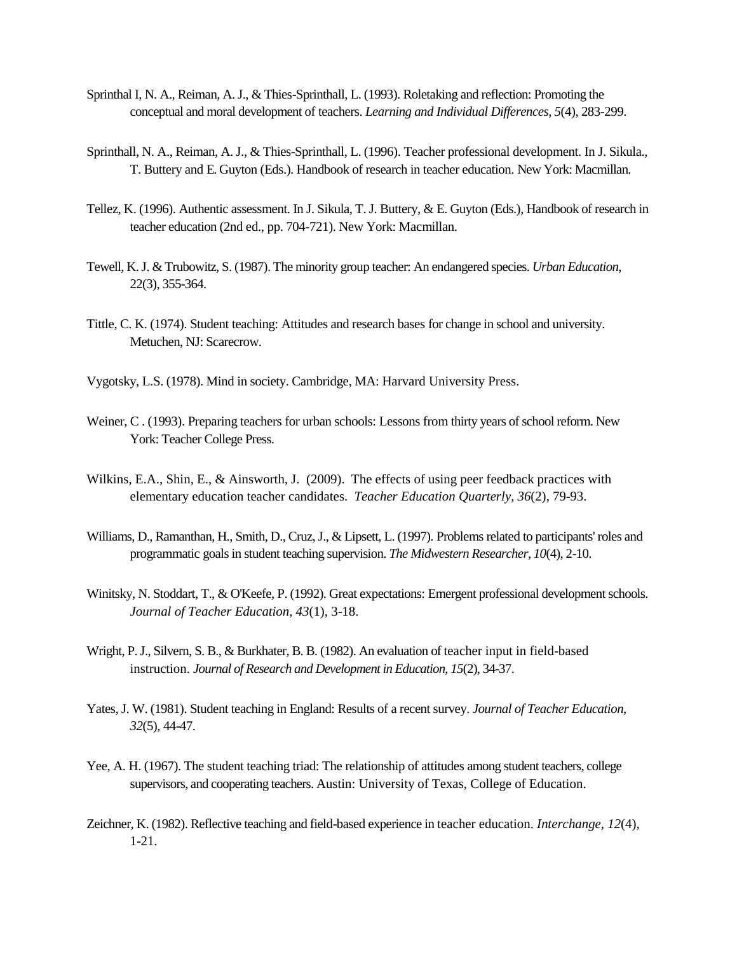- Sprinthal I, N. A., Reiman, A. J., & Thies-Sprinthall, L. (1993). Roletaking and reflection: Promoting the conceptual and moral development of teachers. *Learning and Individual Differences, 5*(4), 283-299.
- Sprinthall, N. A., Reiman, A. J., & Thies-Sprinthall, L. (1996). Teacher professional development. In J. Sikula., T. Buttery and E. Guyton (Eds.). Handbook of research in teacher education. New York: Macmillan.
- Tellez, K. (1996). Authentic assessment. In J. Sikula, T. J. Buttery, & E. Guyton (Eds.), Handbook of research in teacher education (2nd ed., pp. 704-721). New York: Macmillan.
- Tewell, K. J. & Trubowitz, S. (1987). The minority group teacher: An endangered species. *Urban Education*, 22(3), 355-364.
- Tittle, C. K. (1974). Student teaching: Attitudes and research bases for change in school and university. Metuchen, NJ: Scarecrow.
- Vygotsky, L.S. (1978). Mind in society. Cambridge, MA: Harvard University Press.
- Weiner, C . (1993). Preparing teachers for urban schools: Lessons from thirty years of school reform. New York: Teacher College Press.
- Wilkins, E.A., Shin, E., & Ainsworth, J. (2009). The effects of using peer feedback practices with elementary education teacher candidates. *Teacher Education Quarterly, 36*(2), 79-93.
- Williams, D., Ramanthan, H., Smith, D., Cruz, J., & Lipsett, L. (1997). Problems related to participants' roles and programmatic goals in student teaching supervision. *The Midwestern Researcher, 10*(4), 2-10.
- Winitsky, N. Stoddart, T., & O'Keefe, P. (1992). Great expectations: Emergent professional development schools. *Journal of Teacher Education, 43*(1), 3-18.
- Wright, P. J., Silvern, S. B., & Burkhater, B. B. (1982). An evaluation of teacher input in field-based instruction. *Journal of Research and Development in Education, 15*(2), 34-37.
- Yates, J. W. (1981). Student teaching in England: Results of a recent survey. *Journal of Teacher Education, 32*(5), 44-47.
- Yee, A. H. (1967). The student teaching triad: The relationship of attitudes among student teachers, college supervisors, and cooperating teachers. Austin: University of Texas, College of Education.
- Zeichner, K. (1982). Reflective teaching and field-based experience in teacher education. *Interchange, 12*(4), 1-21.